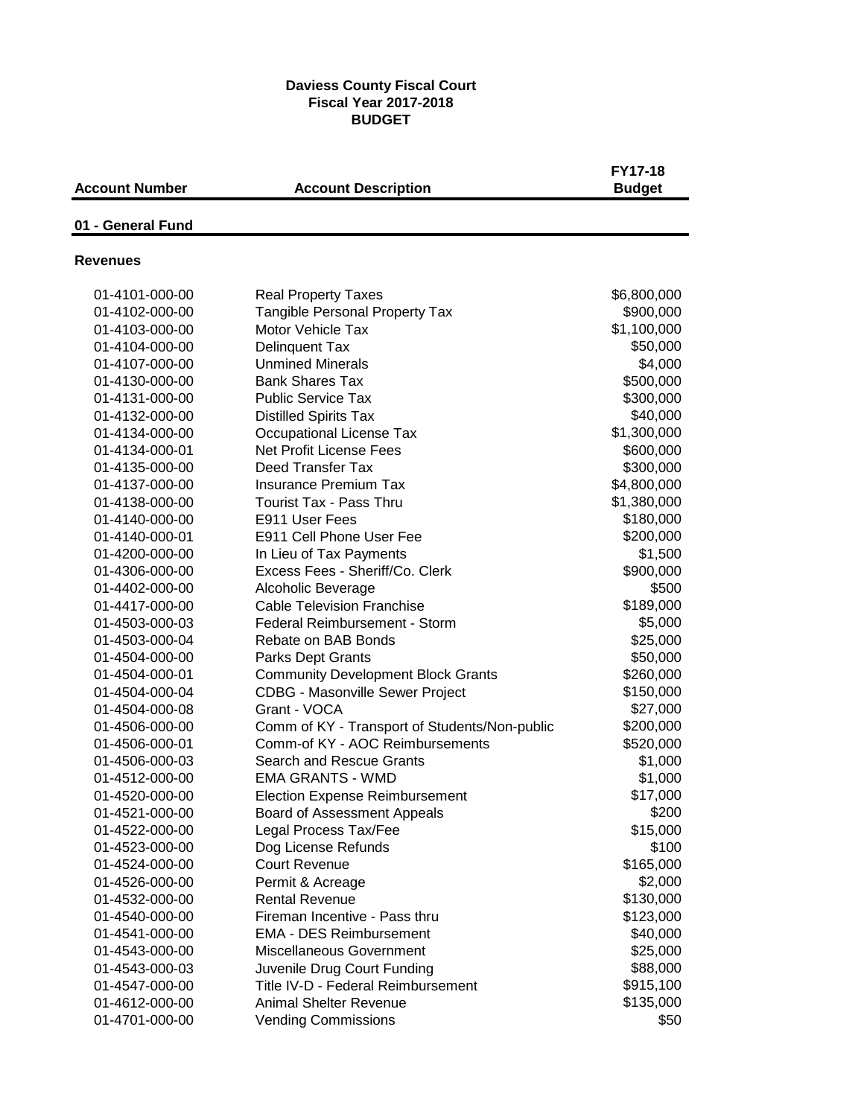## **Daviess County Fiscal Court Fiscal Year 2017-2018 BUDGET**

| <b>Account Number</b> | <b>Account Description</b>                    | <b>FY17-18</b><br><b>Budget</b> |
|-----------------------|-----------------------------------------------|---------------------------------|
| 01 - General Fund     |                                               |                                 |
| <b>Revenues</b>       |                                               |                                 |
| 01-4101-000-00        | <b>Real Property Taxes</b>                    | \$6,800,000                     |
| 01-4102-000-00        | <b>Tangible Personal Property Tax</b>         | \$900,000                       |
| 01-4103-000-00        | Motor Vehicle Tax                             | \$1,100,000                     |
| 01-4104-000-00        | Delinquent Tax                                | \$50,000                        |
| 01-4107-000-00        | <b>Unmined Minerals</b>                       | \$4,000                         |
| 01-4130-000-00        | <b>Bank Shares Tax</b>                        | \$500,000                       |
| 01-4131-000-00        | <b>Public Service Tax</b>                     | \$300,000                       |
| 01-4132-000-00        | <b>Distilled Spirits Tax</b>                  | \$40,000                        |
| 01-4134-000-00        | <b>Occupational License Tax</b>               | \$1,300,000                     |
| 01-4134-000-01        | <b>Net Profit License Fees</b>                | \$600,000                       |
| 01-4135-000-00        | Deed Transfer Tax                             | \$300,000                       |
| 01-4137-000-00        | <b>Insurance Premium Tax</b>                  | \$4,800,000                     |
| 01-4138-000-00        | <b>Tourist Tax - Pass Thru</b>                | \$1,380,000                     |
| 01-4140-000-00        | E911 User Fees                                | \$180,000                       |
| 01-4140-000-01        | E911 Cell Phone User Fee                      | \$200,000                       |
| 01-4200-000-00        | In Lieu of Tax Payments                       | \$1,500                         |
| 01-4306-000-00        | Excess Fees - Sheriff/Co. Clerk               | \$900,000                       |
| 01-4402-000-00        | Alcoholic Beverage                            | \$500                           |
| 01-4417-000-00        | <b>Cable Television Franchise</b>             | \$189,000                       |
| 01-4503-000-03        | Federal Reimbursement - Storm                 | \$5,000                         |
| 01-4503-000-04        | Rebate on BAB Bonds                           | \$25,000                        |
| 01-4504-000-00        | <b>Parks Dept Grants</b>                      | \$50,000                        |
| 01-4504-000-01        | <b>Community Development Block Grants</b>     | \$260,000                       |
| 01-4504-000-04        | <b>CDBG - Masonville Sewer Project</b>        | \$150,000                       |
| 01-4504-000-08        | Grant - VOCA                                  | \$27,000                        |
| 01-4506-000-00        | Comm of KY - Transport of Students/Non-public | \$200,000                       |
| 01-4506-000-01        | Comm-of KY - AOC Reimbursements               | \$520,000                       |
| 01-4506-000-03        | Search and Rescue Grants                      | \$1,000                         |
| 01-4512-000-00        | <b>EMA GRANTS - WMD</b>                       | \$1,000                         |
| 01-4520-000-00        | <b>Election Expense Reimbursement</b>         | \$17,000                        |
| 01-4521-000-00        | Board of Assessment Appeals                   | \$200                           |
| 01-4522-000-00        | Legal Process Tax/Fee                         | \$15,000                        |
| 01-4523-000-00        | Dog License Refunds                           | \$100                           |
| 01-4524-000-00        | <b>Court Revenue</b>                          | \$165,000                       |
| 01-4526-000-00        | Permit & Acreage                              | \$2,000                         |
| 01-4532-000-00        | <b>Rental Revenue</b>                         | \$130,000                       |
| 01-4540-000-00        | Fireman Incentive - Pass thru                 | \$123,000                       |
| 01-4541-000-00        | <b>EMA - DES Reimbursement</b>                | \$40,000                        |
| 01-4543-000-00        | Miscellaneous Government                      | \$25,000                        |
| 01-4543-000-03        | Juvenile Drug Court Funding                   | \$88,000                        |
| 01-4547-000-00        | Title IV-D - Federal Reimbursement            | \$915,100                       |
| 01-4612-000-00        | <b>Animal Shelter Revenue</b>                 | \$135,000                       |
| 01-4701-000-00        | <b>Vending Commissions</b>                    | \$50                            |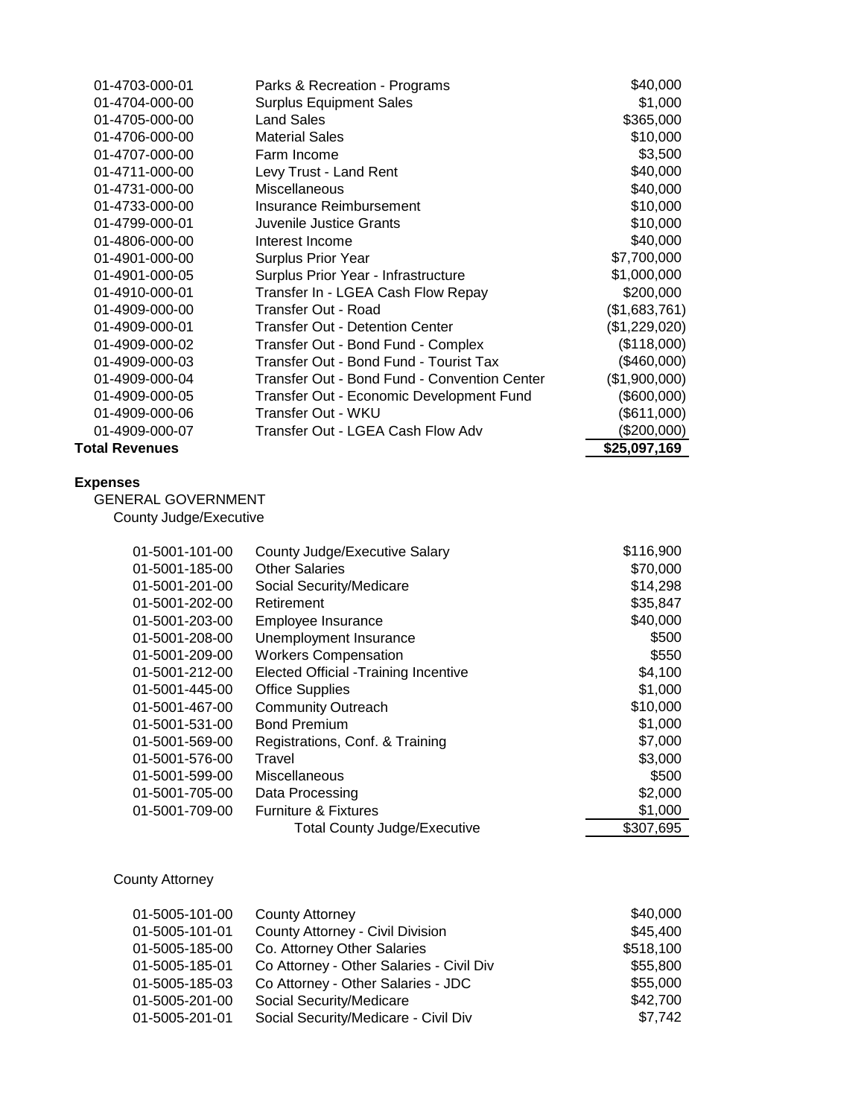| 01-4703-000-01            | Parks & Recreation - Programs                | \$40,000      |
|---------------------------|----------------------------------------------|---------------|
| 01-4704-000-00            | <b>Surplus Equipment Sales</b>               | \$1,000       |
| 01-4705-000-00            | <b>Land Sales</b>                            | \$365,000     |
| 01-4706-000-00            | <b>Material Sales</b>                        | \$10,000      |
| 01-4707-000-00            | Farm Income                                  | \$3,500       |
| 01-4711-000-00            | Levy Trust - Land Rent                       | \$40,000      |
| 01-4731-000-00            | Miscellaneous                                | \$40,000      |
| 01-4733-000-00            | Insurance Reimbursement                      | \$10,000      |
| 01-4799-000-01            | Juvenile Justice Grants                      | \$10,000      |
| 01-4806-000-00            | Interest Income                              | \$40,000      |
| 01-4901-000-00            | Surplus Prior Year                           | \$7,700,000   |
| 01-4901-000-05            | Surplus Prior Year - Infrastructure          | \$1,000,000   |
| 01-4910-000-01            | Transfer In - LGEA Cash Flow Repay           | \$200,000     |
| 01-4909-000-00            | Transfer Out - Road                          | (\$1,683,761) |
| 01-4909-000-01            | <b>Transfer Out - Detention Center</b>       | (\$1,229,020) |
| 01-4909-000-02            | Transfer Out - Bond Fund - Complex           | (\$118,000)   |
| 01-4909-000-03            | Transfer Out - Bond Fund - Tourist Tax       | (\$460,000)   |
| 01-4909-000-04            | Transfer Out - Bond Fund - Convention Center | (\$1,900,000) |
| 01-4909-000-05            | Transfer Out - Economic Development Fund     | (\$600,000)   |
| 01-4909-000-06            | Transfer Out - WKU                           | (\$611,000)   |
| 01-4909-000-07            | Transfer Out - LGEA Cash Flow Adv            | (\$200,000)   |
| <b>Total Revenues</b>     |                                              | \$25,097,169  |
| <b>Expenses</b>           |                                              |               |
| <b>GENERAL GOVERNMENT</b> |                                              |               |
| County Judge/Executive    |                                              |               |
| 01-5001-101-00            | County Judge/Executive Salary                | \$116,900     |
| 01-5001-185-00            | <b>Other Salaries</b>                        | \$70,000      |
| 01-5001-201-00            | Social Security/Medicare                     | \$14,298      |
| 01-5001-202-00            | Retirement                                   | \$35.847      |

| 01-5001-202-00 | Retirement                                  | \$35,847  |
|----------------|---------------------------------------------|-----------|
| 01-5001-203-00 | Employee Insurance                          | \$40,000  |
| 01-5001-208-00 | Unemployment Insurance                      | \$500     |
| 01-5001-209-00 | <b>Workers Compensation</b>                 | \$550     |
| 01-5001-212-00 | <b>Elected Official -Training Incentive</b> | \$4,100   |
| 01-5001-445-00 | <b>Office Supplies</b>                      | \$1,000   |
| 01-5001-467-00 | <b>Community Outreach</b>                   | \$10,000  |
| 01-5001-531-00 | <b>Bond Premium</b>                         | \$1,000   |
| 01-5001-569-00 | Registrations, Conf. & Training             | \$7,000   |
| 01-5001-576-00 | Travel                                      | \$3,000   |
| 01-5001-599-00 | <b>Miscellaneous</b>                        | \$500     |
| 01-5001-705-00 | Data Processing                             | \$2,000   |
| 01-5001-709-00 | <b>Furniture &amp; Fixtures</b>             | \$1,000   |
|                | <b>Total County Judge/Executive</b>         | \$307,695 |

County Attorney

| 01-5005-101-00 | <b>County Attorney</b>                   | \$40,000  |
|----------------|------------------------------------------|-----------|
| 01-5005-101-01 | County Attorney - Civil Division         | \$45,400  |
| 01-5005-185-00 | Co. Attorney Other Salaries              | \$518,100 |
| 01-5005-185-01 | Co Attorney - Other Salaries - Civil Div | \$55,800  |
| 01-5005-185-03 | Co Attorney - Other Salaries - JDC       | \$55,000  |
| 01-5005-201-00 | Social Security/Medicare                 | \$42,700  |
| 01-5005-201-01 | Social Security/Medicare - Civil Div     | \$7,742   |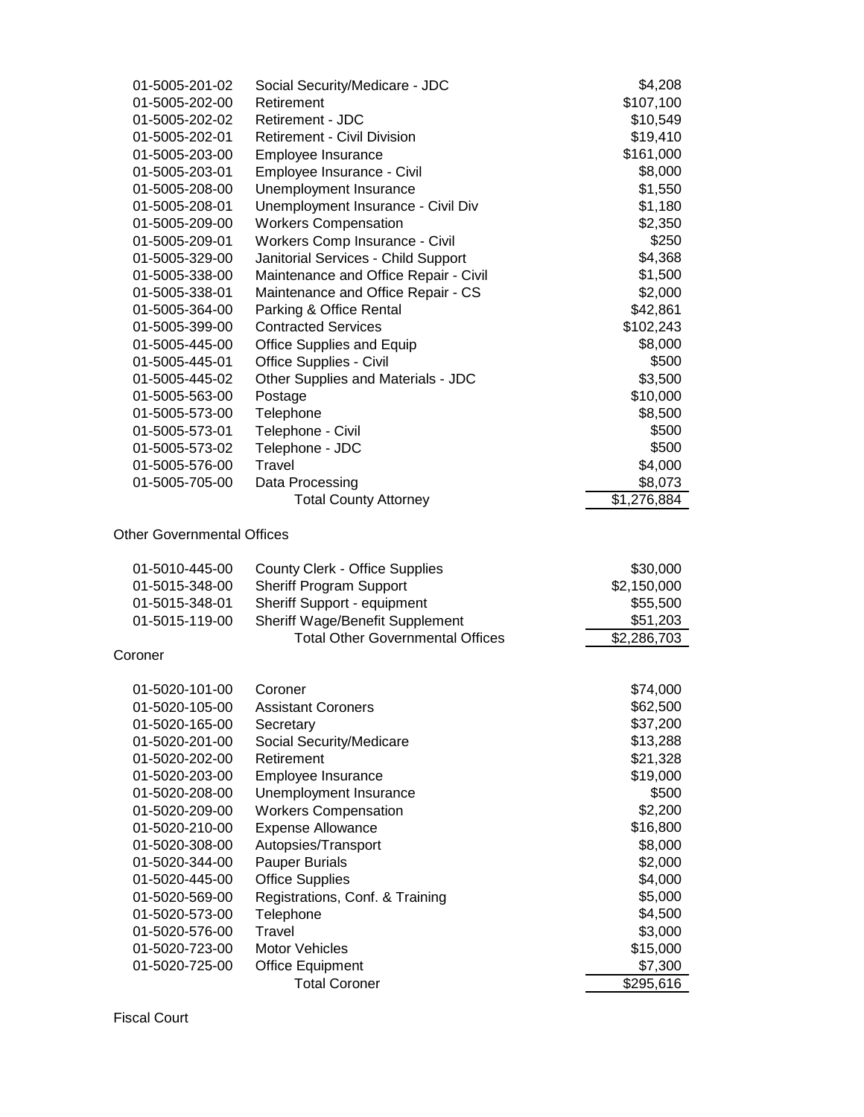| 01-5005-201-02                   | Social Security/Medicare - JDC                                 | \$4,208                |
|----------------------------------|----------------------------------------------------------------|------------------------|
| 01-5005-202-00                   | Retirement                                                     | \$107,100              |
| 01-5005-202-02                   | Retirement - JDC                                               | \$10,549               |
| 01-5005-202-01                   | <b>Retirement - Civil Division</b>                             | \$19,410               |
| 01-5005-203-00                   | Employee Insurance                                             | \$161,000              |
| 01-5005-203-01                   | Employee Insurance - Civil                                     | \$8,000                |
| 01-5005-208-00                   | Unemployment Insurance                                         | \$1,550                |
| 01-5005-208-01                   | Unemployment Insurance - Civil Div                             | \$1,180                |
| 01-5005-209-00                   | <b>Workers Compensation</b>                                    | \$2,350                |
| 01-5005-209-01                   | Workers Comp Insurance - Civil                                 | \$250                  |
| 01-5005-329-00                   | Janitorial Services - Child Support                            | \$4,368                |
| 01-5005-338-00                   | Maintenance and Office Repair - Civil                          | \$1,500                |
| 01-5005-338-01                   | Maintenance and Office Repair - CS                             | \$2,000                |
| 01-5005-364-00                   | Parking & Office Rental                                        | \$42,861               |
| 01-5005-399-00                   | <b>Contracted Services</b>                                     | \$102,243              |
| 01-5005-445-00                   | <b>Office Supplies and Equip</b>                               | \$8,000                |
| 01-5005-445-01                   | Office Supplies - Civil                                        | \$500                  |
| 01-5005-445-02                   | Other Supplies and Materials - JDC                             | \$3,500                |
| 01-5005-563-00                   | Postage                                                        | \$10,000               |
| 01-5005-573-00                   | Telephone                                                      | \$8,500                |
| 01-5005-573-01                   | Telephone - Civil                                              | \$500                  |
| 01-5005-573-02                   | Telephone - JDC                                                | \$500                  |
| 01-5005-576-00                   | Travel                                                         | \$4,000                |
| 01-5005-705-00                   |                                                                |                        |
|                                  | Data Processing<br><b>Total County Attorney</b>                | \$8,073<br>\$1,276,884 |
|                                  |                                                                |                        |
| 01-5010-445-00                   | <b>County Clerk - Office Supplies</b>                          | \$30,000               |
| 01-5015-348-00<br>01-5015-348-01 | <b>Sheriff Program Support</b>                                 | \$2,150,000            |
| 01-5015-119-00                   | Sheriff Support - equipment<br>Sheriff Wage/Benefit Supplement | \$55,500<br>\$51,203   |
|                                  | <b>Total Other Governmental Offices</b>                        | \$2,286,703            |
| Coroner                          |                                                                |                        |
| 01-5020-101-00                   | Coroner                                                        | \$74,000               |
| 01-5020-105-00                   | <b>Assistant Coroners</b>                                      | \$62,500               |
| 01-5020-165-00                   | Secretary                                                      | \$37,200               |
| 01-5020-201-00                   | Social Security/Medicare                                       | \$13,288               |
| 01-5020-202-00                   | Retirement                                                     | \$21,328               |
| 01-5020-203-00                   | Employee Insurance                                             | \$19,000               |
| 01-5020-208-00                   | Unemployment Insurance                                         | \$500                  |
| 01-5020-209-00                   | <b>Workers Compensation</b>                                    | \$2,200                |
| 01-5020-210-00                   | <b>Expense Allowance</b>                                       | \$16,800               |
| 01-5020-308-00                   | Autopsies/Transport                                            | \$8,000                |
| 01-5020-344-00                   | <b>Pauper Burials</b>                                          | \$2,000                |
| 01-5020-445-00                   | <b>Office Supplies</b>                                         | \$4,000                |
| 01-5020-569-00                   | Registrations, Conf. & Training                                | \$5,000                |
| 01-5020-573-00                   | Telephone                                                      | \$4,500                |
| 01-5020-576-00                   | Travel                                                         | \$3,000                |
| 01-5020-723-00                   | Motor Vehicles                                                 | \$15,000               |
| 01-5020-725-00                   | <b>Office Equipment</b>                                        | \$7,300                |
|                                  | <b>Total Coroner</b>                                           | \$295,616              |
|                                  |                                                                |                        |

Fiscal Court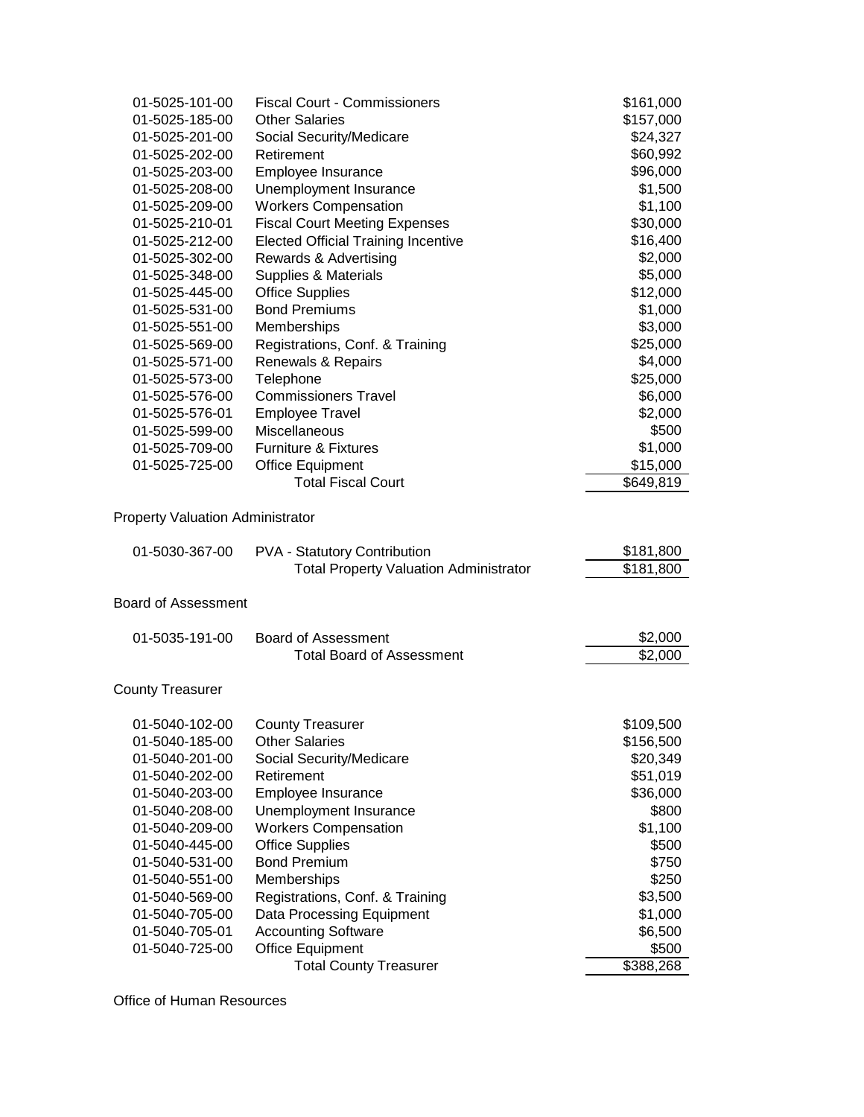| 01-5025-101-00             | <b>Fiscal Court - Commissioners</b>                                                  | \$161,000              |
|----------------------------|--------------------------------------------------------------------------------------|------------------------|
| 01-5025-185-00             | <b>Other Salaries</b>                                                                | \$157,000              |
| 01-5025-201-00             | Social Security/Medicare                                                             | \$24,327               |
| 01-5025-202-00             | Retirement                                                                           | \$60,992               |
| 01-5025-203-00             | Employee Insurance                                                                   | \$96,000               |
| 01-5025-208-00             | Unemployment Insurance                                                               | \$1,500                |
| 01-5025-209-00             | <b>Workers Compensation</b>                                                          | \$1,100                |
| 01-5025-210-01             | <b>Fiscal Court Meeting Expenses</b>                                                 | \$30,000               |
| 01-5025-212-00             | <b>Elected Official Training Incentive</b>                                           | \$16,400               |
| 01-5025-302-00             | Rewards & Advertising                                                                | \$2,000                |
| 01-5025-348-00             | Supplies & Materials                                                                 | \$5,000                |
| 01-5025-445-00             | <b>Office Supplies</b>                                                               | \$12,000               |
| 01-5025-531-00             | <b>Bond Premiums</b>                                                                 | \$1,000                |
| 01-5025-551-00             | Memberships                                                                          | \$3,000                |
| 01-5025-569-00             | Registrations, Conf. & Training                                                      | \$25,000               |
| 01-5025-571-00             | Renewals & Repairs                                                                   | \$4,000                |
| 01-5025-573-00             | Telephone                                                                            | \$25,000               |
| 01-5025-576-00             | <b>Commissioners Travel</b>                                                          | \$6,000                |
| 01-5025-576-01             | <b>Employee Travel</b>                                                               | \$2,000                |
| 01-5025-599-00             | Miscellaneous                                                                        | \$500                  |
| 01-5025-709-00             | <b>Furniture &amp; Fixtures</b>                                                      | \$1,000                |
| 01-5025-725-00             | <b>Office Equipment</b>                                                              | \$15,000               |
|                            | <b>Total Fiscal Court</b>                                                            | \$649,819              |
| 01-5030-367-00             | <b>PVA - Statutory Contribution</b><br><b>Total Property Valuation Administrator</b> | \$181,800<br>\$181,800 |
| <b>Board of Assessment</b> |                                                                                      |                        |
| 01-5035-191-00             | <b>Board of Assessment</b>                                                           | \$2,000                |
|                            | <b>Total Board of Assessment</b>                                                     | \$2,000                |
| <b>County Treasurer</b>    |                                                                                      |                        |
| 01-5040-102-00             | <b>County Treasurer</b>                                                              | \$109,500              |
| 01-5040-185-00             | <b>Other Salaries</b>                                                                | \$156,500              |
| 01-5040-201-00             | Social Security/Medicare                                                             | \$20,349               |
| 01-5040-202-00             | Retirement                                                                           | \$51,019               |
| 01-5040-203-00             | Employee Insurance                                                                   | \$36,000               |
| 01-5040-208-00             | Unemployment Insurance                                                               | \$800                  |
| 01-5040-209-00             | <b>Workers Compensation</b>                                                          | \$1,100                |
| 01-5040-445-00             | <b>Office Supplies</b>                                                               | \$500                  |
| 01-5040-531-00             | <b>Bond Premium</b>                                                                  | \$750                  |
| 01-5040-551-00             | Memberships                                                                          | \$250                  |
| 01-5040-569-00             | Registrations, Conf. & Training                                                      | \$3,500                |
| 01-5040-705-00             | Data Processing Equipment                                                            | \$1,000                |
| 01-5040-705-01             | <b>Accounting Software</b>                                                           | \$6,500                |
| 01-5040-725-00             | <b>Office Equipment</b>                                                              | \$500<br>\$388,268     |
|                            | <b>Total County Treasurer</b>                                                        |                        |

Office of Human Resources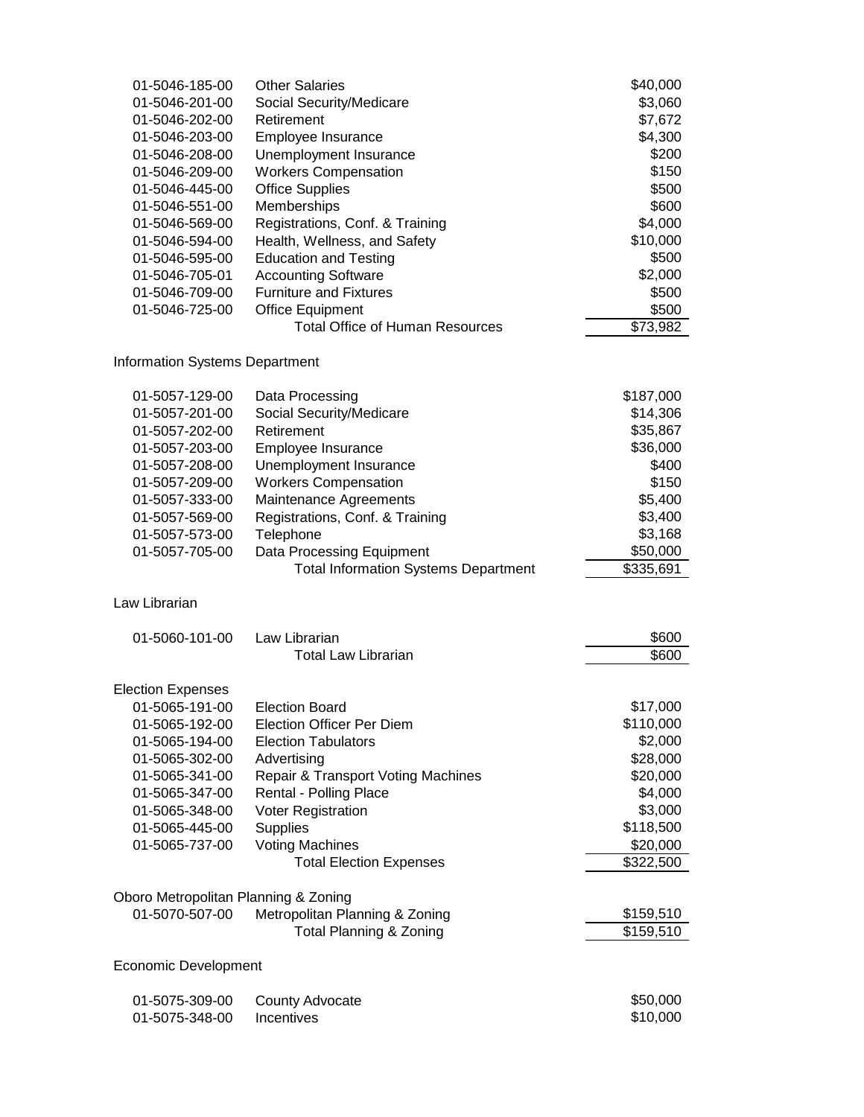| 01-5046-185-00                        | <b>Other Salaries</b>                                                    | \$40,000              |
|---------------------------------------|--------------------------------------------------------------------------|-----------------------|
| 01-5046-201-00                        | Social Security/Medicare                                                 | \$3,060               |
| 01-5046-202-00                        | Retirement                                                               | \$7,672               |
| 01-5046-203-00                        | Employee Insurance                                                       | \$4,300               |
| 01-5046-208-00                        | Unemployment Insurance                                                   | \$200                 |
| 01-5046-209-00                        | <b>Workers Compensation</b>                                              | \$150                 |
| 01-5046-445-00                        | <b>Office Supplies</b>                                                   | \$500                 |
| 01-5046-551-00                        | Memberships                                                              | \$600                 |
| 01-5046-569-00                        | Registrations, Conf. & Training                                          | \$4,000               |
| 01-5046-594-00                        | Health, Wellness, and Safety                                             | \$10,000              |
| 01-5046-595-00                        | <b>Education and Testing</b>                                             | \$500                 |
| 01-5046-705-01                        | <b>Accounting Software</b>                                               | \$2,000               |
| 01-5046-709-00                        | <b>Furniture and Fixtures</b>                                            | \$500                 |
| 01-5046-725-00                        | <b>Office Equipment</b>                                                  | \$500                 |
|                                       | <b>Total Office of Human Resources</b>                                   | \$73,982              |
| <b>Information Systems Department</b> |                                                                          |                       |
| 01-5057-129-00                        | Data Processing                                                          | \$187,000             |
| 01-5057-201-00                        | Social Security/Medicare                                                 | \$14,306              |
| 01-5057-202-00                        | Retirement                                                               | \$35,867              |
| 01-5057-203-00                        | Employee Insurance                                                       | \$36,000              |
| 01-5057-208-00                        | Unemployment Insurance                                                   | \$400                 |
| 01-5057-209-00                        | <b>Workers Compensation</b>                                              | \$150                 |
| 01-5057-333-00                        | Maintenance Agreements                                                   | \$5,400               |
| 01-5057-569-00                        | Registrations, Conf. & Training                                          | \$3,400               |
| 01-5057-573-00                        | Telephone                                                                | \$3,168               |
|                                       |                                                                          |                       |
| 01-5057-705-00                        | Data Processing Equipment<br><b>Total Information Systems Department</b> | \$50,000<br>\$335,691 |
| Law Librarian                         |                                                                          |                       |
| 01-5060-101-00                        | Law Librarian                                                            | \$600                 |
|                                       | <b>Total Law Librarian</b>                                               | \$600                 |
| <b>Election Expenses</b>              |                                                                          |                       |
| 01-5065-191-00                        | <b>Election Board</b>                                                    | \$17,000              |
| 01-5065-192-00                        | <b>Election Officer Per Diem</b>                                         | \$110,000             |
| 01-5065-194-00                        | <b>Election Tabulators</b>                                               | \$2,000               |
| 01-5065-302-00                        | Advertising                                                              | \$28,000              |
| 01-5065-341-00                        | Repair & Transport Voting Machines                                       | \$20,000              |
| 01-5065-347-00                        | Rental - Polling Place                                                   | \$4,000               |
| 01-5065-348-00                        | Voter Registration                                                       | \$3,000               |
| 01-5065-445-00                        | <b>Supplies</b>                                                          | \$118,500             |
| 01-5065-737-00                        | <b>Voting Machines</b>                                                   | \$20,000              |
|                                       | <b>Total Election Expenses</b>                                           | \$322,500             |
|                                       |                                                                          |                       |
| Oboro Metropolitan Planning & Zoning  |                                                                          |                       |
| 01-5070-507-00                        | Metropolitan Planning & Zoning                                           | \$159,510             |
|                                       | <b>Total Planning &amp; Zoning</b>                                       | \$159,510             |
| <b>Economic Development</b>           |                                                                          |                       |
| 01-5075-309-00                        | County Advocate                                                          | \$50,000              |
| 01-5075-348-00                        | Incentives                                                               | \$10,000              |
|                                       |                                                                          |                       |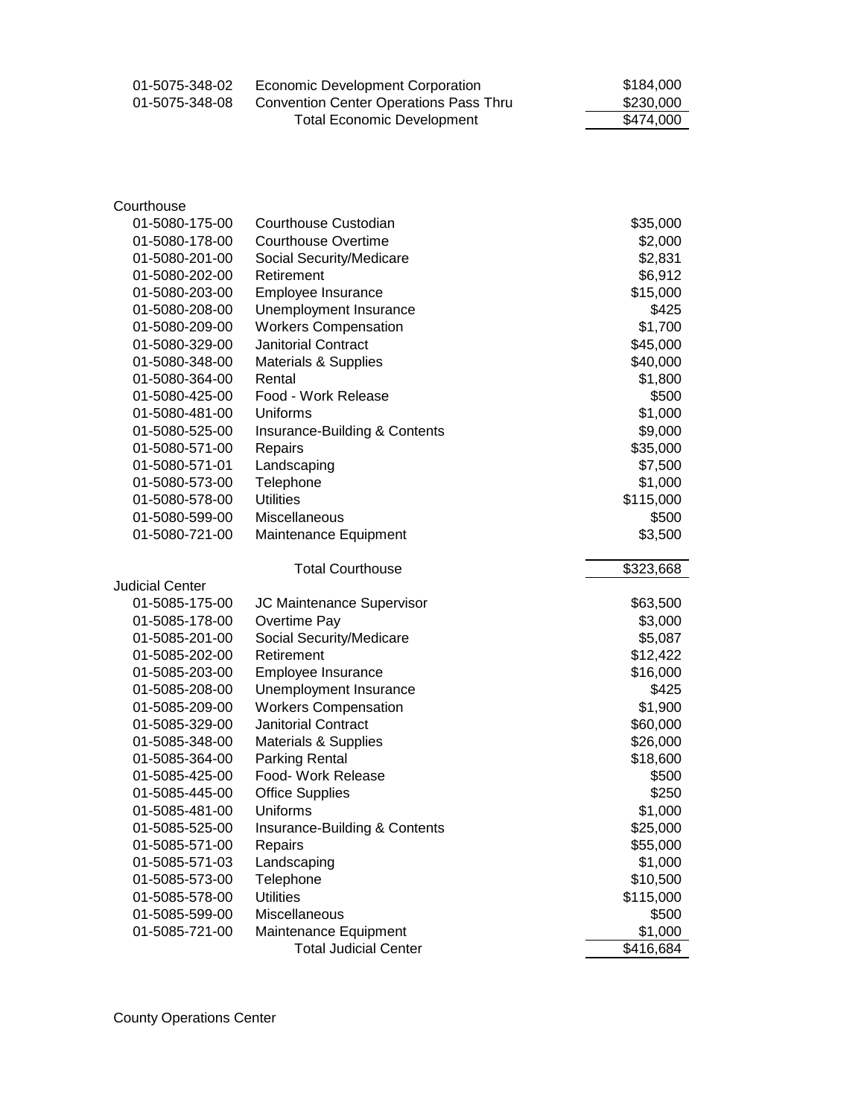| 01-5075-348-02 | Economic Development Corporation       | \$184,000 |
|----------------|----------------------------------------|-----------|
| 01-5075-348-08 | Convention Center Operations Pass Thru | \$230,000 |
|                | Total Economic Development             | \$474,000 |

| 01-5080-175-00         | Courthouse Custodian            | \$35,000             |
|------------------------|---------------------------------|----------------------|
| 01-5080-178-00         | <b>Courthouse Overtime</b>      | \$2,000              |
| 01-5080-201-00         | Social Security/Medicare        | \$2,831              |
| 01-5080-202-00         | Retirement                      | \$6,912              |
| 01-5080-203-00         | Employee Insurance              | \$15,000             |
| 01-5080-208-00         | Unemployment Insurance          | \$425                |
| 01-5080-209-00         | <b>Workers Compensation</b>     | \$1,700              |
| 01-5080-329-00         | Janitorial Contract             | \$45,000             |
| 01-5080-348-00         | <b>Materials &amp; Supplies</b> | \$40,000             |
| 01-5080-364-00         | Rental                          | \$1,800              |
| 01-5080-425-00         | Food - Work Release             | \$500                |
| 01-5080-481-00         | Uniforms                        | \$1,000              |
| 01-5080-525-00         | Insurance-Building & Contents   | \$9,000              |
| 01-5080-571-00         | Repairs                         | \$35,000             |
| 01-5080-571-01         | Landscaping                     | \$7,500              |
| 01-5080-573-00         | Telephone                       | \$1,000              |
| 01-5080-578-00         | <b>Utilities</b>                | \$115,000            |
| 01-5080-599-00         | Miscellaneous                   | \$500                |
| 01-5080-721-00         | Maintenance Equipment           | \$3,500              |
|                        | <b>Total Courthouse</b>         | \$323,668            |
| <b>Judicial Center</b> |                                 |                      |
| 01-5085-175-00         | JC Maintenance Supervisor       | \$63,500             |
| 01-5085-178-00         | Overtime Pay                    | \$3,000              |
| 01-5085-201-00         | Social Security/Medicare        | \$5,087              |
| 01-5085-202-00         | Retirement                      | \$12,422             |
| 01-5085-203-00         | Employee Insurance              | \$16,000             |
| 01-5085-208-00         | Unemployment Insurance          | \$425                |
| 01-5085-209-00         | <b>Workers Compensation</b>     | \$1,900              |
| 01-5085-329-00         | <b>Janitorial Contract</b>      | \$60,000             |
| 01-5085-348-00         | <b>Materials &amp; Supplies</b> | \$26,000             |
| 01-5085-364-00         | <b>Parking Rental</b>           | \$18,600             |
| 01-5085-425-00         | Food- Work Release              | \$500                |
| 01-5085-445-00         | <b>Office Supplies</b>          | \$250                |
| 01-5085-481-00         | Uniforms                        | \$1,000              |
| 01-5085-525-00         | Insurance-Building & Contents   | \$25,000             |
| 01-5085-571-00         | Repairs                         | \$55,000             |
| 01-5085-571-03         | Landscaping                     | \$1,000              |
| 01-5085-573-00         | Telephone                       | \$10,500             |
| 01-5085-578-00         |                                 | \$115,000            |
|                        | <b>Utilities</b>                |                      |
| 01-5085-599-00         | Miscellaneous                   | \$500                |
| 01-5085-721-00         | Maintenance Equipment           | \$1,000<br>\$416,684 |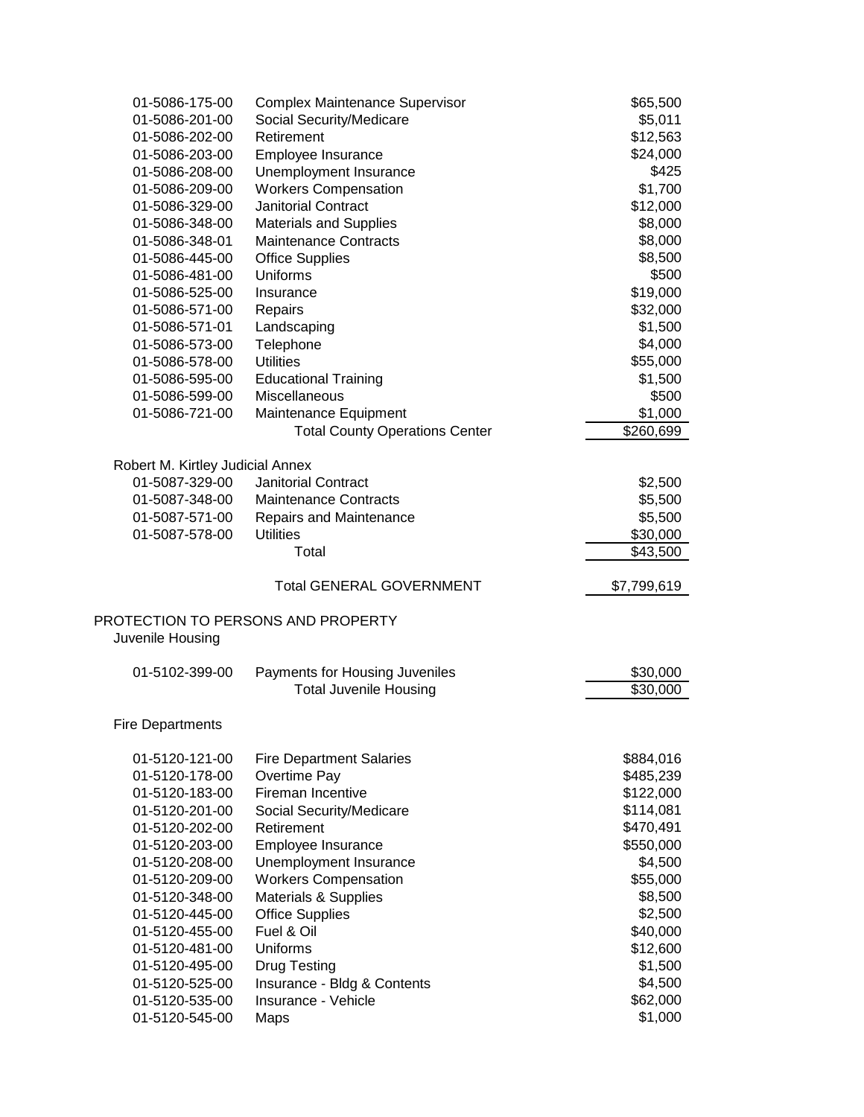| 01-5086-175-00                   | <b>Complex Maintenance Supervisor</b>                           | \$65,500            |
|----------------------------------|-----------------------------------------------------------------|---------------------|
| 01-5086-201-00                   | Social Security/Medicare                                        | \$5,011             |
| 01-5086-202-00                   | Retirement                                                      | \$12,563            |
| 01-5086-203-00                   | Employee Insurance                                              | \$24,000            |
| 01-5086-208-00                   | Unemployment Insurance                                          | \$425               |
| 01-5086-209-00                   | <b>Workers Compensation</b>                                     | \$1,700             |
| 01-5086-329-00                   | <b>Janitorial Contract</b>                                      | \$12,000            |
| 01-5086-348-00                   | <b>Materials and Supplies</b>                                   | \$8,000             |
| 01-5086-348-01                   | <b>Maintenance Contracts</b>                                    | \$8,000             |
| 01-5086-445-00                   | <b>Office Supplies</b>                                          | \$8,500             |
| 01-5086-481-00                   | Uniforms                                                        | \$500               |
| 01-5086-525-00                   | Insurance                                                       | \$19,000            |
| 01-5086-571-00                   | Repairs                                                         | \$32,000            |
| 01-5086-571-01                   | Landscaping                                                     | \$1,500             |
| 01-5086-573-00                   | Telephone                                                       | \$4,000             |
| 01-5086-578-00                   | <b>Utilities</b>                                                | \$55,000            |
| 01-5086-595-00                   | <b>Educational Training</b>                                     | \$1,500             |
| 01-5086-599-00                   | Miscellaneous                                                   | \$500               |
| 01-5086-721-00                   | Maintenance Equipment                                           | \$1,000             |
|                                  | <b>Total County Operations Center</b>                           | \$260,699           |
|                                  |                                                                 |                     |
| Robert M. Kirtley Judicial Annex |                                                                 |                     |
| 01-5087-329-00                   | <b>Janitorial Contract</b>                                      | \$2,500             |
| 01-5087-348-00                   | <b>Maintenance Contracts</b>                                    | \$5,500             |
| 01-5087-571-00                   | Repairs and Maintenance                                         | \$5,500             |
| 01-5087-578-00                   | <b>Utilities</b>                                                | \$30,000            |
|                                  | Total                                                           | \$43,500            |
|                                  |                                                                 |                     |
|                                  |                                                                 |                     |
|                                  | <b>Total GENERAL GOVERNMENT</b>                                 | \$7,799,619         |
|                                  |                                                                 |                     |
|                                  | PROTECTION TO PERSONS AND PROPERTY                              |                     |
| Juvenile Housing                 |                                                                 |                     |
| 01-5102-399-00                   |                                                                 | \$30,000            |
|                                  | Payments for Housing Juveniles<br><b>Total Juvenile Housing</b> | \$30,000            |
|                                  |                                                                 |                     |
| <b>Fire Departments</b>          |                                                                 |                     |
|                                  |                                                                 |                     |
| 01-5120-121-00                   | <b>Fire Department Salaries</b>                                 | \$884,016           |
| 01-5120-178-00                   | Overtime Pay                                                    | \$485,239           |
| 01-5120-183-00                   | Fireman Incentive                                               | \$122,000           |
| 01-5120-201-00                   | Social Security/Medicare                                        | \$114,081           |
| 01-5120-202-00                   | Retirement                                                      | \$470,491           |
| 01-5120-203-00                   | Employee Insurance                                              | \$550,000           |
| 01-5120-208-00                   | Unemployment Insurance                                          | \$4,500             |
| 01-5120-209-00                   | <b>Workers Compensation</b>                                     | \$55,000            |
| 01-5120-348-00                   | Materials & Supplies                                            | \$8,500             |
| 01-5120-445-00                   | <b>Office Supplies</b>                                          | \$2,500             |
| 01-5120-455-00                   | Fuel & Oil                                                      | \$40,000            |
| 01-5120-481-00                   | Uniforms                                                        | \$12,600            |
| 01-5120-495-00                   | <b>Drug Testing</b>                                             | \$1,500             |
| 01-5120-525-00                   | Insurance - Bldg & Contents                                     | \$4,500             |
| 01-5120-535-00<br>01-5120-545-00 | Insurance - Vehicle<br>Maps                                     | \$62,000<br>\$1,000 |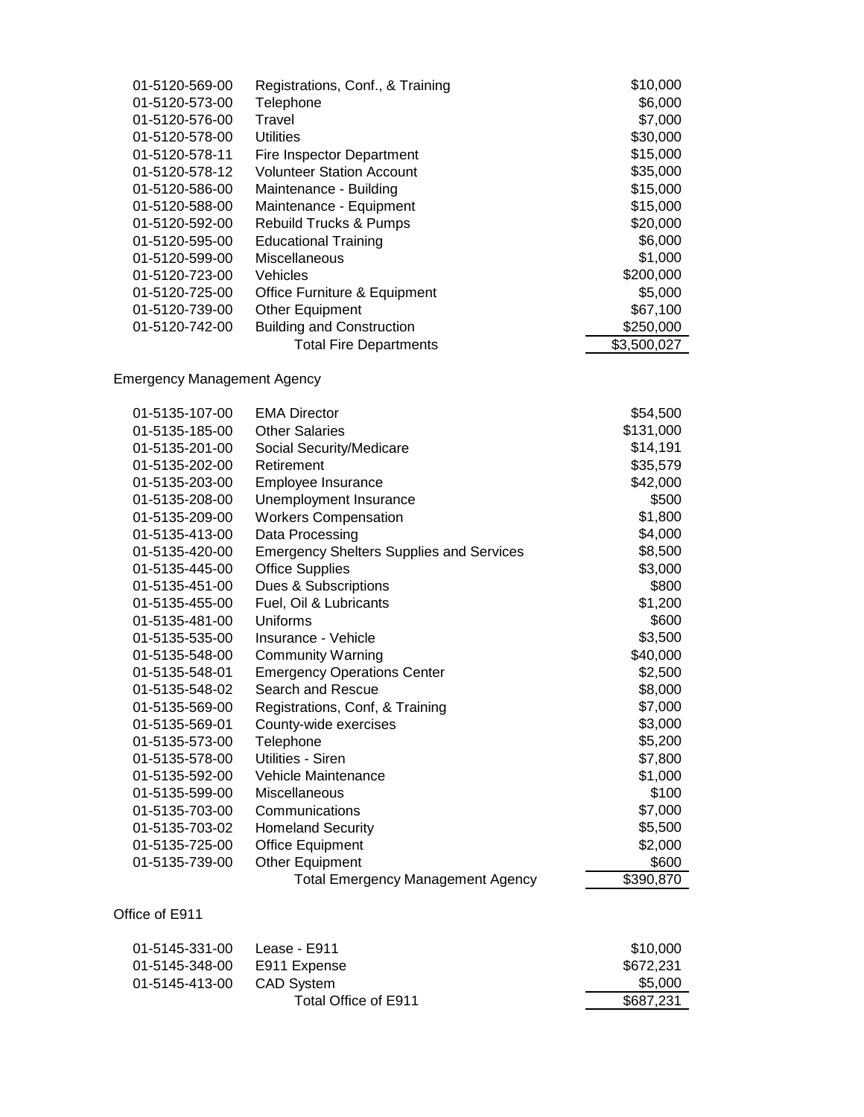| 01-5120-569-00 | Registrations, Conf., & Training | \$10,000    |
|----------------|----------------------------------|-------------|
| 01-5120-573-00 | Telephone                        | \$6,000     |
| 01-5120-576-00 | Travel                           | \$7,000     |
| 01-5120-578-00 | Utilities                        | \$30,000    |
| 01-5120-578-11 | Fire Inspector Department        | \$15,000    |
| 01-5120-578-12 | <b>Volunteer Station Account</b> | \$35,000    |
| 01-5120-586-00 | Maintenance - Building           | \$15,000    |
| 01-5120-588-00 | Maintenance - Equipment          | \$15,000    |
| 01-5120-592-00 | Rebuild Trucks & Pumps           | \$20,000    |
| 01-5120-595-00 | <b>Educational Training</b>      | \$6,000     |
| 01-5120-599-00 | <b>Miscellaneous</b>             | \$1,000     |
| 01-5120-723-00 | <b>Vehicles</b>                  | \$200,000   |
| 01-5120-725-00 | Office Furniture & Equipment     | \$5,000     |
| 01-5120-739-00 | Other Equipment                  | \$67,100    |
| 01-5120-742-00 | <b>Building and Construction</b> | \$250,000   |
|                | <b>Total Fire Departments</b>    | \$3,500,027 |

Emergency Management Agency

| 01-5135-107-00 | <b>EMA Director</b>                             | \$54,500  |
|----------------|-------------------------------------------------|-----------|
| 01-5135-185-00 | <b>Other Salaries</b>                           | \$131,000 |
| 01-5135-201-00 | Social Security/Medicare                        | \$14,191  |
| 01-5135-202-00 | Retirement                                      | \$35,579  |
| 01-5135-203-00 | Employee Insurance                              | \$42,000  |
| 01-5135-208-00 | Unemployment Insurance                          | \$500     |
| 01-5135-209-00 | <b>Workers Compensation</b>                     | \$1,800   |
| 01-5135-413-00 | Data Processing                                 | \$4,000   |
| 01-5135-420-00 | <b>Emergency Shelters Supplies and Services</b> | \$8,500   |
| 01-5135-445-00 | <b>Office Supplies</b>                          | \$3,000   |
| 01-5135-451-00 | Dues & Subscriptions                            | \$800     |
| 01-5135-455-00 | Fuel, Oil & Lubricants                          | \$1,200   |
| 01-5135-481-00 | Uniforms                                        | \$600     |
| 01-5135-535-00 | Insurance - Vehicle                             | \$3,500   |
| 01-5135-548-00 | <b>Community Warning</b>                        | \$40,000  |
| 01-5135-548-01 | <b>Emergency Operations Center</b>              | \$2,500   |
| 01-5135-548-02 | Search and Rescue                               | \$8,000   |
| 01-5135-569-00 | Registrations, Conf, & Training                 | \$7,000   |
| 01-5135-569-01 | County-wide exercises                           | \$3,000   |
| 01-5135-573-00 | Telephone                                       | \$5,200   |
| 01-5135-578-00 | Utilities - Siren                               | \$7,800   |
| 01-5135-592-00 | Vehicle Maintenance                             | \$1,000   |
| 01-5135-599-00 | Miscellaneous                                   | \$100     |
| 01-5135-703-00 | Communications                                  | \$7,000   |
| 01-5135-703-02 | <b>Homeland Security</b>                        | \$5,500   |
| 01-5135-725-00 | <b>Office Equipment</b>                         | \$2,000   |
| 01-5135-739-00 | Other Equipment                                 | \$600     |
|                | <b>Total Emergency Management Agency</b>        | \$390,870 |
|                |                                                 |           |

Office of E911

| 01-5145-331-00 | Lease - E911         | \$10,000  |
|----------------|----------------------|-----------|
| 01-5145-348-00 | E911 Expense         | \$672.231 |
| 01-5145-413-00 | <b>CAD System</b>    | \$5,000   |
|                | Total Office of E911 | \$687.231 |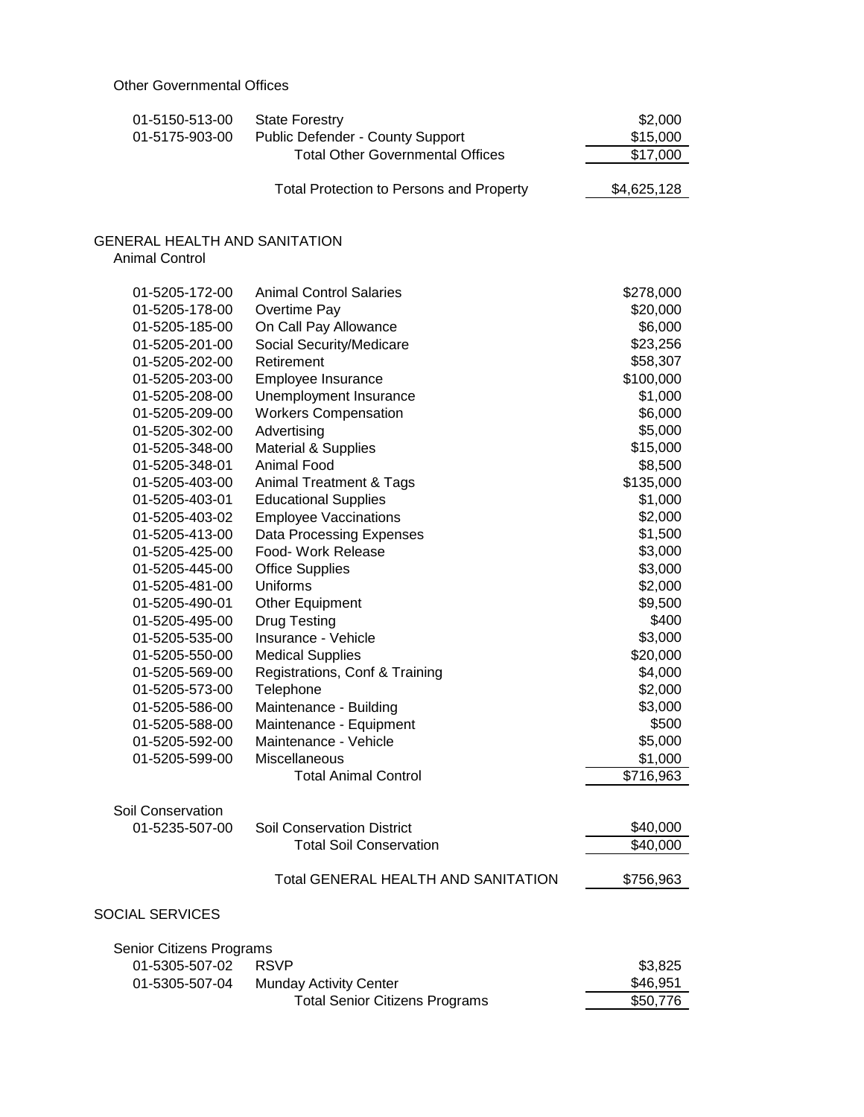| 01-5150-513-00<br>01-5175-903-00     | <b>State Forestry</b><br>Public Defender - County Support | \$2,000<br>\$15,000 |
|--------------------------------------|-----------------------------------------------------------|---------------------|
|                                      | <b>Total Other Governmental Offices</b>                   | \$17,000            |
|                                      | <b>Total Protection to Persons and Property</b>           | \$4,625,128         |
| <b>GENERAL HEALTH AND SANITATION</b> |                                                           |                     |
| <b>Animal Control</b>                |                                                           |                     |
| 01-5205-172-00                       | <b>Animal Control Salaries</b>                            | \$278,000           |
| 01-5205-178-00                       | Overtime Pay                                              | \$20,000            |
| 01-5205-185-00                       | On Call Pay Allowance                                     | \$6,000             |
| 01-5205-201-00                       | Social Security/Medicare                                  | \$23,256            |
| 01-5205-202-00                       | Retirement                                                | \$58,307            |
| 01-5205-203-00                       | Employee Insurance                                        | \$100,000           |
| 01-5205-208-00                       | Unemployment Insurance                                    | \$1,000             |
| 01-5205-209-00                       | <b>Workers Compensation</b>                               | \$6,000             |
| 01-5205-302-00                       | Advertising                                               | \$5,000             |
| 01-5205-348-00                       | <b>Material &amp; Supplies</b>                            | \$15,000            |
| 01-5205-348-01                       | Animal Food                                               | \$8,500             |
| 01-5205-403-00                       | <b>Animal Treatment &amp; Tags</b>                        | \$135,000           |
| 01-5205-403-01                       | <b>Educational Supplies</b>                               | \$1,000             |
| 01-5205-403-02                       | <b>Employee Vaccinations</b>                              | \$2,000             |
| 01-5205-413-00                       | Data Processing Expenses                                  | \$1,500             |
| 01-5205-425-00                       | Food- Work Release                                        | \$3,000             |
| 01-5205-445-00                       | <b>Office Supplies</b>                                    | \$3,000             |
| 01-5205-481-00                       | Uniforms                                                  | \$2,000             |
| 01-5205-490-01                       | <b>Other Equipment</b>                                    | \$9,500             |
| 01-5205-495-00                       | <b>Drug Testing</b>                                       | \$400               |
| 01-5205-535-00                       | Insurance - Vehicle                                       | \$3,000             |
| 01-5205-550-00                       | <b>Medical Supplies</b>                                   | \$20,000            |
| 01-5205-569-00                       | Registrations, Conf & Training                            | \$4,000             |
| 01-5205-573-00                       | Telephone                                                 | \$2,000             |
| 01-5205-586-00                       | Maintenance - Building                                    | \$3,000             |
| 01-5205-588-00                       | Maintenance - Equipment                                   | \$500               |
| 01-5205-592-00                       | Maintenance - Vehicle                                     | \$5,000             |
| 01-5205-599-00                       | Miscellaneous                                             | \$1,000             |
|                                      | <b>Total Animal Control</b>                               | \$716,963           |
| Soil Conservation                    |                                                           |                     |
| 01-5235-507-00                       | <b>Soil Conservation District</b>                         | \$40,000            |
|                                      | <b>Total Soil Conservation</b>                            | \$40,000            |
|                                      | <b>Total GENERAL HEALTH AND SANITATION</b>                | \$756,963           |
|                                      |                                                           |                     |
| <b>SOCIAL SERVICES</b>               |                                                           |                     |
| Senior Citizens Programs             |                                                           |                     |
| 01-5305-507-02                       | <b>RSVP</b>                                               | \$3,825             |
| 01-5305-507-04                       | <b>Munday Activity Center</b>                             | \$46,951            |
|                                      | <b>Total Senior Citizens Programs</b>                     | \$50,776            |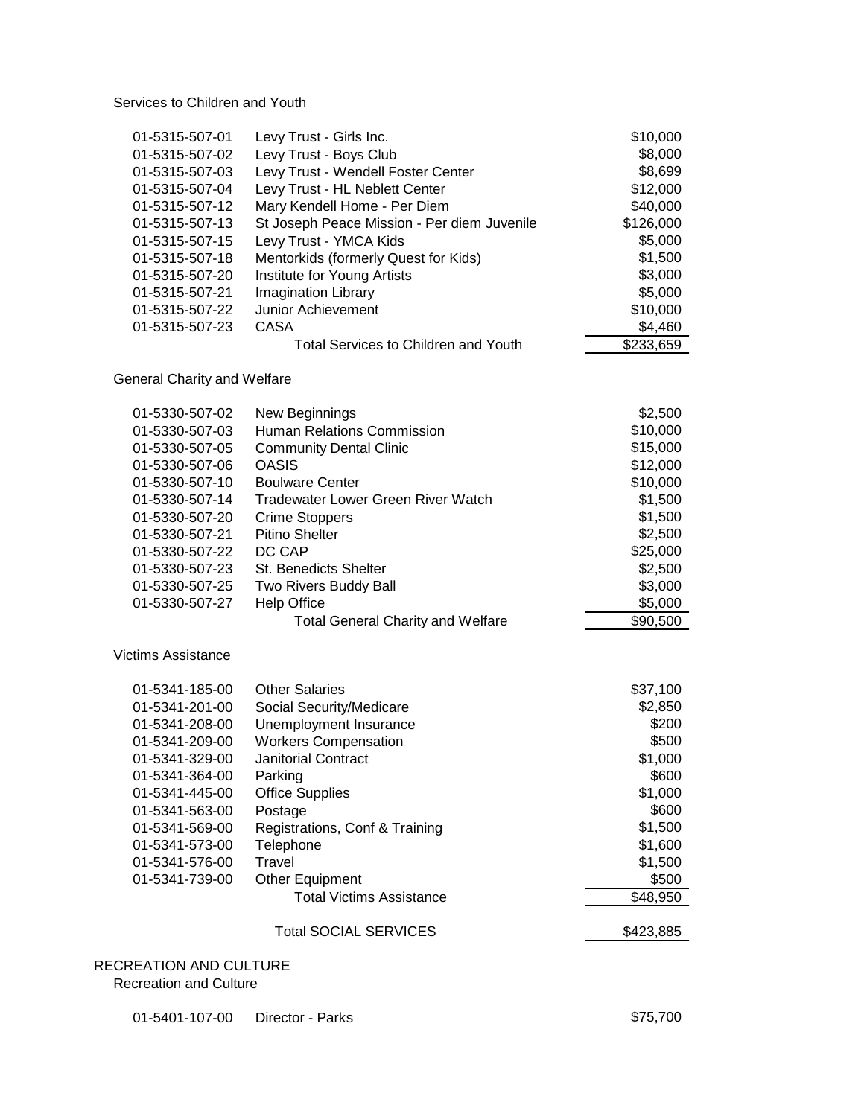Services to Children and Youth

| 01-5315-507-01 | Levy Trust - Girls Inc.                     | \$10,000  |
|----------------|---------------------------------------------|-----------|
| 01-5315-507-02 | Levy Trust - Boys Club                      | \$8,000   |
| 01-5315-507-03 | Levy Trust - Wendell Foster Center          | \$8,699   |
| 01-5315-507-04 | Levy Trust - HL Neblett Center              | \$12,000  |
| 01-5315-507-12 | Mary Kendell Home - Per Diem                | \$40,000  |
| 01-5315-507-13 | St Joseph Peace Mission - Per diem Juvenile | \$126,000 |
| 01-5315-507-15 | Levy Trust - YMCA Kids                      | \$5,000   |
| 01-5315-507-18 | Mentorkids (formerly Quest for Kids)        | \$1,500   |
| 01-5315-507-20 | Institute for Young Artists                 | \$3,000   |
| 01-5315-507-21 | Imagination Library                         | \$5,000   |
| 01-5315-507-22 | Junior Achievement                          | \$10,000  |
| 01-5315-507-23 | CASA                                        | \$4,460   |
|                | <b>Total Services to Children and Youth</b> | \$233,659 |

### General Charity and Welfare

| 01-5330-507-02     | New Beginnings                           | \$2,500  |
|--------------------|------------------------------------------|----------|
| 01-5330-507-03     | <b>Human Relations Commission</b>        | \$10,000 |
| 01-5330-507-05     | <b>Community Dental Clinic</b>           | \$15,000 |
| 01-5330-507-06     | <b>OASIS</b>                             | \$12,000 |
| 01-5330-507-10     | <b>Boulware Center</b>                   | \$10,000 |
| 01-5330-507-14     | Tradewater Lower Green River Watch       | \$1,500  |
| 01-5330-507-20     | <b>Crime Stoppers</b>                    | \$1,500  |
| 01-5330-507-21     | Pitino Shelter                           | \$2,500  |
| 01-5330-507-22     | DC CAP                                   | \$25,000 |
| 01-5330-507-23     | <b>St. Benedicts Shelter</b>             | \$2,500  |
| 01-5330-507-25     | Two Rivers Buddy Ball                    | \$3,000  |
| 01-5330-507-27     | <b>Help Office</b>                       | \$5,000  |
|                    | <b>Total General Charity and Welfare</b> | \$90,500 |
| Victims Assistance |                                          |          |
| 01-5341-185-00     | <b>Other Salaries</b>                    | \$37,100 |
| 01-5341-201-00     | Social Security/Medicare                 | \$2,850  |

| <u>UI UUTI IUU UU</u> | vulul valahva                  | $vu$ , $vu$ |
|-----------------------|--------------------------------|-------------|
| 01-5341-201-00        | Social Security/Medicare       | \$2,850     |
| 01-5341-208-00        | Unemployment Insurance         | \$200       |
| 01-5341-209-00        | <b>Workers Compensation</b>    | \$500       |
| 01-5341-329-00        | <b>Janitorial Contract</b>     | \$1,000     |
| 01-5341-364-00        | Parking                        | \$600       |
| 01-5341-445-00        | <b>Office Supplies</b>         | \$1,000     |
| 01-5341-563-00        | Postage                        | \$600       |
| 01-5341-569-00        | Registrations, Conf & Training | \$1,500     |
| 01-5341-573-00        | Telephone                      | \$1,600     |
| 01-5341-576-00        | Travel                         | \$1,500     |
| 01-5341-739-00        | Other Equipment                | \$500       |
|                       | Total Victims Assistance       | \$48,950    |
|                       |                                |             |

## Total SOCIAL SERVICES \$423,885

## RECREATION AND CULTURE Recreation and Culture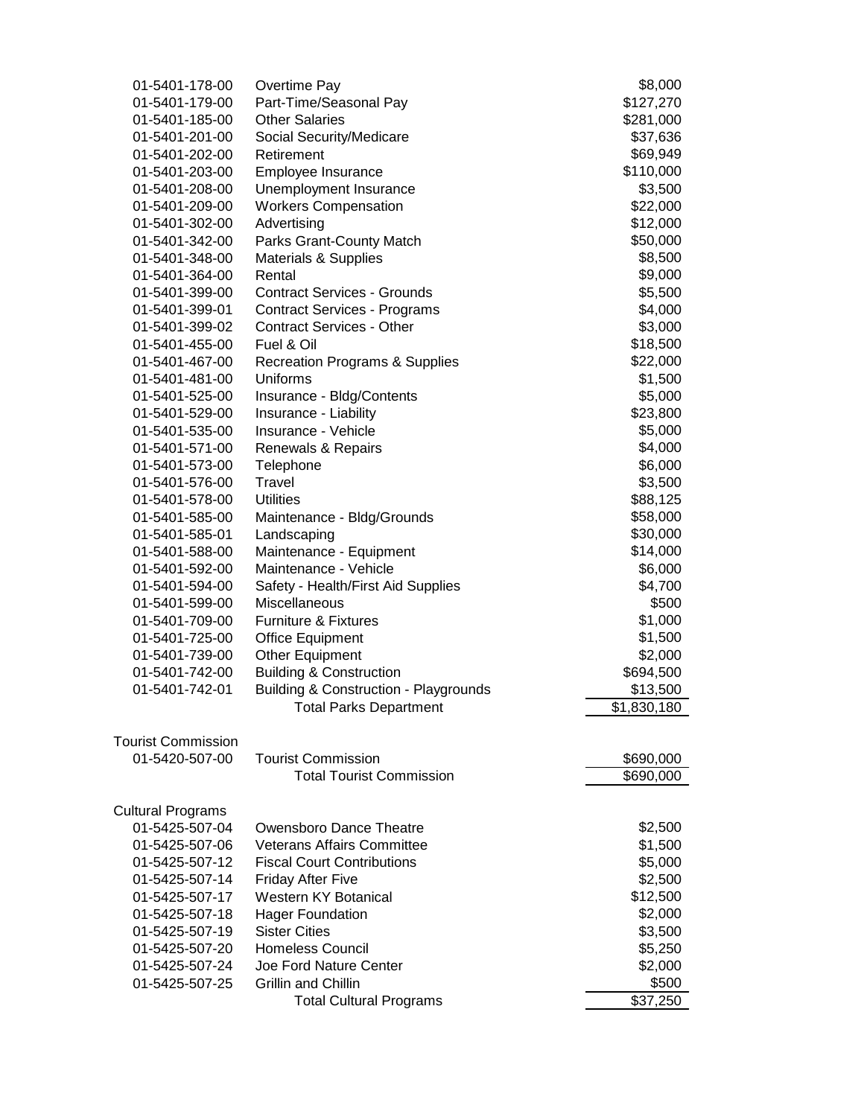| 01-5401-178-00            | Overtime Pay                                     | \$8,000     |
|---------------------------|--------------------------------------------------|-------------|
| 01-5401-179-00            | Part-Time/Seasonal Pay                           | \$127,270   |
| 01-5401-185-00            | <b>Other Salaries</b>                            | \$281,000   |
| 01-5401-201-00            | Social Security/Medicare                         | \$37,636    |
| 01-5401-202-00            | Retirement                                       | \$69,949    |
| 01-5401-203-00            | Employee Insurance                               | \$110,000   |
| 01-5401-208-00            | Unemployment Insurance                           | \$3,500     |
| 01-5401-209-00            | <b>Workers Compensation</b>                      | \$22,000    |
| 01-5401-302-00            | Advertising                                      | \$12,000    |
| 01-5401-342-00            | Parks Grant-County Match                         | \$50,000    |
| 01-5401-348-00            | <b>Materials &amp; Supplies</b>                  | \$8,500     |
| 01-5401-364-00            | Rental                                           | \$9,000     |
| 01-5401-399-00            | <b>Contract Services - Grounds</b>               | \$5,500     |
| 01-5401-399-01            | <b>Contract Services - Programs</b>              | \$4,000     |
| 01-5401-399-02            | <b>Contract Services - Other</b>                 | \$3,000     |
| 01-5401-455-00            | Fuel & Oil                                       | \$18,500    |
| 01-5401-467-00            | <b>Recreation Programs &amp; Supplies</b>        | \$22,000    |
| 01-5401-481-00            | Uniforms                                         | \$1,500     |
| 01-5401-525-00            | Insurance - Bldg/Contents                        | \$5,000     |
| 01-5401-529-00            | Insurance - Liability                            | \$23,800    |
| 01-5401-535-00            | Insurance - Vehicle                              | \$5,000     |
| 01-5401-571-00            | Renewals & Repairs                               | \$4,000     |
| 01-5401-573-00            | Telephone                                        | \$6,000     |
| 01-5401-576-00            | <b>Travel</b>                                    | \$3,500     |
| 01-5401-578-00            | <b>Utilities</b>                                 | \$88,125    |
| 01-5401-585-00            | Maintenance - Bldg/Grounds                       | \$58,000    |
| 01-5401-585-01            | Landscaping                                      | \$30,000    |
| 01-5401-588-00            | Maintenance - Equipment                          | \$14,000    |
| 01-5401-592-00            | Maintenance - Vehicle                            | \$6,000     |
| 01-5401-594-00            | Safety - Health/First Aid Supplies               | \$4,700     |
| 01-5401-599-00            | Miscellaneous                                    | \$500       |
| 01-5401-709-00            | <b>Furniture &amp; Fixtures</b>                  | \$1,000     |
| 01-5401-725-00            | <b>Office Equipment</b>                          | \$1,500     |
| 01-5401-739-00            | <b>Other Equipment</b>                           | \$2,000     |
| 01-5401-742-00            | <b>Building &amp; Construction</b>               | \$694,500   |
| 01-5401-742-01            | <b>Building &amp; Construction - Playgrounds</b> | \$13,500    |
|                           | <b>Total Parks Department</b>                    | \$1,830,180 |
|                           |                                                  |             |
| <b>Tourist Commission</b> |                                                  |             |
| 01-5420-507-00            | <b>Tourist Commission</b>                        | \$690,000   |
|                           | <b>Total Tourist Commission</b>                  | \$690,000   |
|                           |                                                  |             |
| <b>Cultural Programs</b>  |                                                  |             |
| 01-5425-507-04            | Owensboro Dance Theatre                          | \$2,500     |
| 01-5425-507-06            | <b>Veterans Affairs Committee</b>                | \$1,500     |
| 01-5425-507-12            | <b>Fiscal Court Contributions</b>                | \$5,000     |
| 01-5425-507-14            | <b>Friday After Five</b>                         | \$2,500     |
| 01-5425-507-17            | <b>Western KY Botanical</b>                      | \$12,500    |
| 01-5425-507-18            | <b>Hager Foundation</b>                          | \$2,000     |
| 01-5425-507-19            | <b>Sister Cities</b>                             | \$3,500     |
| 01-5425-507-20            | <b>Homeless Council</b>                          | \$5,250     |
| 01-5425-507-24            | Joe Ford Nature Center                           | \$2,000     |
| 01-5425-507-25            | <b>Grillin and Chillin</b>                       | \$500       |
|                           | <b>Total Cultural Programs</b>                   | \$37,250    |
|                           |                                                  |             |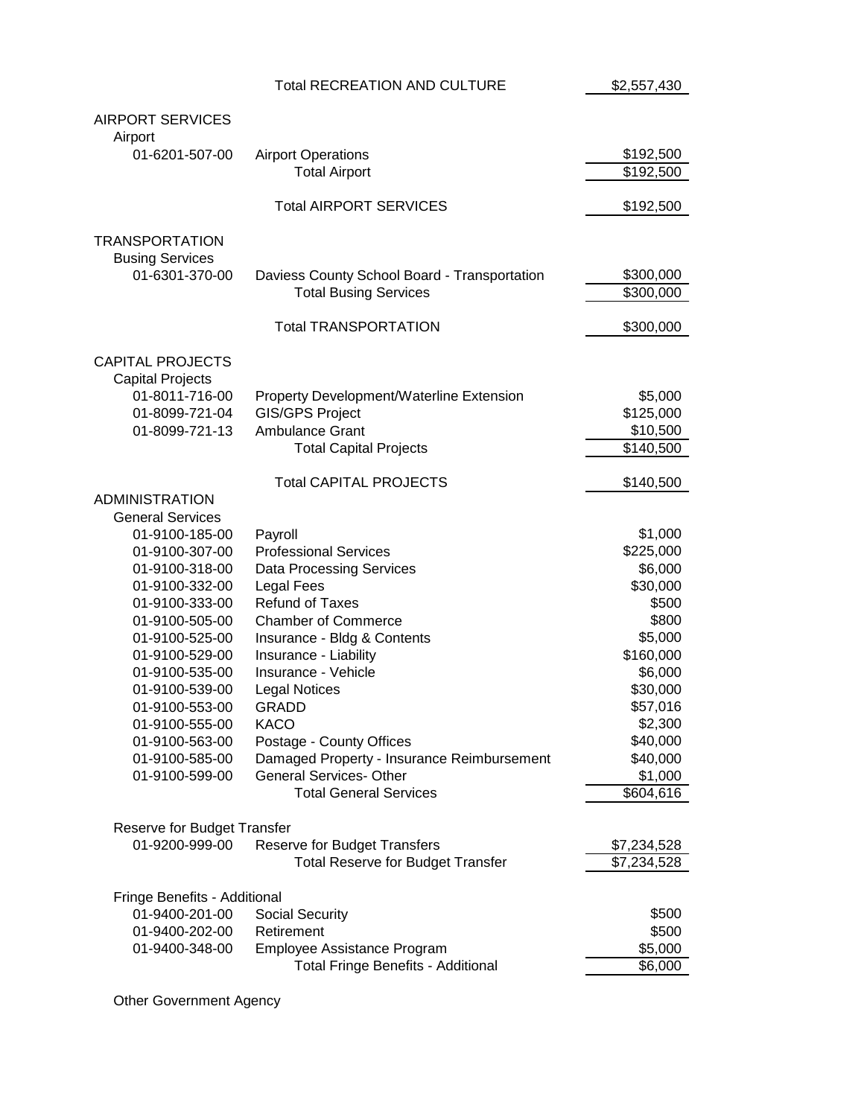|                                  | <b>Total RECREATION AND CULTURE</b>                                          | \$2,557,430           |
|----------------------------------|------------------------------------------------------------------------------|-----------------------|
|                                  |                                                                              |                       |
| <b>AIRPORT SERVICES</b>          |                                                                              |                       |
| Airport                          |                                                                              |                       |
| 01-6201-507-00                   | <b>Airport Operations</b><br><b>Total Airport</b>                            | \$192,500             |
|                                  |                                                                              | \$192,500             |
|                                  | <b>Total AIRPORT SERVICES</b>                                                | \$192,500             |
|                                  |                                                                              |                       |
| <b>TRANSPORTATION</b>            |                                                                              |                       |
| <b>Busing Services</b>           |                                                                              |                       |
| 01-6301-370-00                   | Daviess County School Board - Transportation                                 | \$300,000             |
|                                  | <b>Total Busing Services</b>                                                 | \$300,000             |
|                                  |                                                                              |                       |
|                                  | <b>Total TRANSPORTATION</b>                                                  | \$300,000             |
|                                  |                                                                              |                       |
| <b>CAPITAL PROJECTS</b>          |                                                                              |                       |
| <b>Capital Projects</b>          |                                                                              |                       |
| 01-8011-716-00                   | Property Development/Waterline Extension                                     | \$5,000               |
| 01-8099-721-04<br>01-8099-721-13 | <b>GIS/GPS Project</b><br><b>Ambulance Grant</b>                             | \$125,000<br>\$10,500 |
|                                  | <b>Total Capital Projects</b>                                                | $\sqrt{$}140,500$     |
|                                  |                                                                              |                       |
|                                  | <b>Total CAPITAL PROJECTS</b>                                                | \$140,500             |
| <b>ADMINISTRATION</b>            |                                                                              |                       |
| <b>General Services</b>          |                                                                              |                       |
| 01-9100-185-00                   | Payroll                                                                      | \$1,000               |
| 01-9100-307-00                   | <b>Professional Services</b>                                                 | \$225,000             |
| 01-9100-318-00                   | <b>Data Processing Services</b>                                              | \$6,000               |
| 01-9100-332-00                   | Legal Fees                                                                   | \$30,000              |
| 01-9100-333-00                   | <b>Refund of Taxes</b>                                                       | \$500                 |
| 01-9100-505-00                   | <b>Chamber of Commerce</b>                                                   | \$800                 |
| 01-9100-525-00                   | Insurance - Bldg & Contents                                                  | \$5,000               |
| 01-9100-529-00                   | Insurance - Liability                                                        | \$160,000             |
| 01-9100-535-00                   | Insurance - Vehicle                                                          | \$6,000               |
| 01-9100-539-00                   | <b>Legal Notices</b>                                                         | \$30,000              |
| 01-9100-553-00                   | <b>GRADD</b>                                                                 | \$57,016              |
| 01-9100-555-00                   | <b>KACO</b>                                                                  | \$2,300               |
| 01-9100-563-00                   | Postage - County Offices                                                     | \$40,000              |
| 01-9100-585-00                   | Damaged Property - Insurance Reimbursement<br><b>General Services- Other</b> | \$40,000              |
| 01-9100-599-00                   | <b>Total General Services</b>                                                | \$1,000<br>\$604,616  |
|                                  |                                                                              |                       |
| Reserve for Budget Transfer      |                                                                              |                       |
| 01-9200-999-00                   | <b>Reserve for Budget Transfers</b>                                          | \$7,234,528           |
|                                  | <b>Total Reserve for Budget Transfer</b>                                     | \$7,234,528           |
|                                  |                                                                              |                       |
| Fringe Benefits - Additional     |                                                                              |                       |
| 01-9400-201-00                   | <b>Social Security</b>                                                       | \$500                 |
| 01-9400-202-00                   | Retirement                                                                   | \$500                 |
| 01-9400-348-00                   | Employee Assistance Program                                                  | \$5,000               |
|                                  | Total Fringe Benefits - Additional                                           | \$6,000               |

Other Government Agency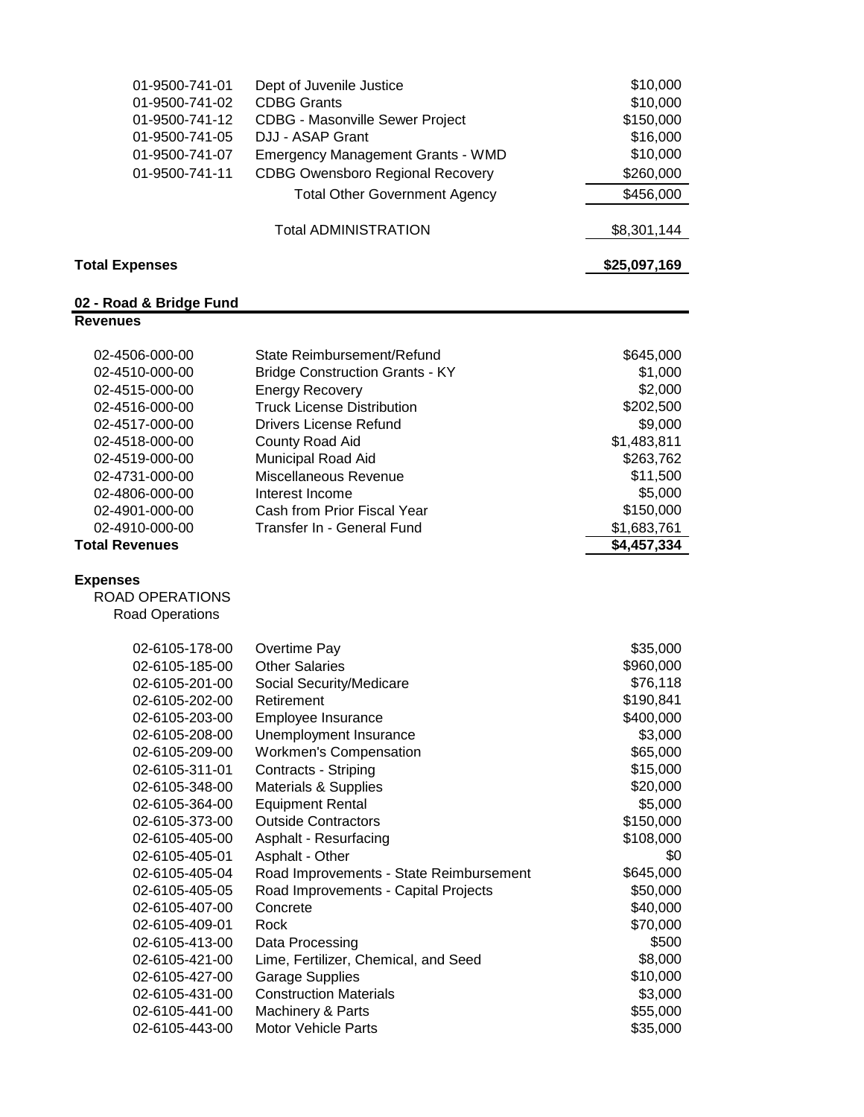| 01-9500-741-01<br>01-9500-741-02<br>01-9500-741-12<br>01-9500-741-05<br>01-9500-741-07<br>01-9500-741-11                                                                                                                                                                                                                                                                                                                   | Dept of Juvenile Justice<br><b>CDBG Grants</b><br><b>CDBG - Masonville Sewer Project</b><br>DJJ - ASAP Grant<br><b>Emergency Management Grants - WMD</b><br><b>CDBG Owensboro Regional Recovery</b><br><b>Total Other Government Agency</b>                                                                                                                                                                                                                                                                                                                                                           | \$10,000<br>\$10,000<br>\$150,000<br>\$16,000<br>\$10,000<br>\$260,000<br>\$456,000                                                                                                                                                                                        |
|----------------------------------------------------------------------------------------------------------------------------------------------------------------------------------------------------------------------------------------------------------------------------------------------------------------------------------------------------------------------------------------------------------------------------|-------------------------------------------------------------------------------------------------------------------------------------------------------------------------------------------------------------------------------------------------------------------------------------------------------------------------------------------------------------------------------------------------------------------------------------------------------------------------------------------------------------------------------------------------------------------------------------------------------|----------------------------------------------------------------------------------------------------------------------------------------------------------------------------------------------------------------------------------------------------------------------------|
|                                                                                                                                                                                                                                                                                                                                                                                                                            | <b>Total ADMINISTRATION</b>                                                                                                                                                                                                                                                                                                                                                                                                                                                                                                                                                                           | \$8,301,144                                                                                                                                                                                                                                                                |
| <b>Total Expenses</b>                                                                                                                                                                                                                                                                                                                                                                                                      |                                                                                                                                                                                                                                                                                                                                                                                                                                                                                                                                                                                                       | \$25,097,169                                                                                                                                                                                                                                                               |
| 02 - Road & Bridge Fund                                                                                                                                                                                                                                                                                                                                                                                                    |                                                                                                                                                                                                                                                                                                                                                                                                                                                                                                                                                                                                       |                                                                                                                                                                                                                                                                            |
| <b>Revenues</b>                                                                                                                                                                                                                                                                                                                                                                                                            |                                                                                                                                                                                                                                                                                                                                                                                                                                                                                                                                                                                                       |                                                                                                                                                                                                                                                                            |
| 02-4506-000-00<br>02-4510-000-00<br>02-4515-000-00<br>02-4516-000-00<br>02-4517-000-00<br>02-4518-000-00<br>02-4519-000-00<br>02-4731-000-00<br>02-4806-000-00<br>02-4901-000-00<br>02-4910-000-00<br><b>Total Revenues</b>                                                                                                                                                                                                | State Reimbursement/Refund<br><b>Bridge Construction Grants - KY</b><br><b>Energy Recovery</b><br><b>Truck License Distribution</b><br><b>Drivers License Refund</b><br>County Road Aid<br>Municipal Road Aid<br>Miscellaneous Revenue<br>Interest Income<br>Cash from Prior Fiscal Year<br>Transfer In - General Fund                                                                                                                                                                                                                                                                                | \$645,000<br>\$1,000<br>\$2,000<br>\$202,500<br>\$9,000<br>\$1,483,811<br>\$263,762<br>\$11,500<br>\$5,000<br>\$150,000<br>\$1,683,761<br>\$4,457,334                                                                                                                      |
| <b>Expenses</b><br><b>ROAD OPERATIONS</b><br>Road Operations                                                                                                                                                                                                                                                                                                                                                               |                                                                                                                                                                                                                                                                                                                                                                                                                                                                                                                                                                                                       |                                                                                                                                                                                                                                                                            |
| 02-6105-178-00<br>02-6105-185-00<br>02-6105-201-00<br>02-6105-202-00<br>02-6105-203-00<br>02-6105-208-00<br>02-6105-209-00<br>02-6105-311-01<br>02-6105-348-00<br>02-6105-364-00<br>02-6105-373-00<br>02-6105-405-00<br>02-6105-405-01<br>02-6105-405-04<br>02-6105-405-05<br>02-6105-407-00<br>02-6105-409-01<br>02-6105-413-00<br>02-6105-421-00<br>02-6105-427-00<br>02-6105-431-00<br>02-6105-441-00<br>02-6105-443-00 | Overtime Pay<br><b>Other Salaries</b><br>Social Security/Medicare<br>Retirement<br>Employee Insurance<br>Unemployment Insurance<br><b>Workmen's Compensation</b><br>Contracts - Striping<br>Materials & Supplies<br><b>Equipment Rental</b><br><b>Outside Contractors</b><br>Asphalt - Resurfacing<br>Asphalt - Other<br>Road Improvements - State Reimbursement<br>Road Improvements - Capital Projects<br>Concrete<br>Rock<br>Data Processing<br>Lime, Fertilizer, Chemical, and Seed<br><b>Garage Supplies</b><br><b>Construction Materials</b><br>Machinery & Parts<br><b>Motor Vehicle Parts</b> | \$35,000<br>\$960,000<br>\$76,118<br>\$190,841<br>\$400,000<br>\$3,000<br>\$65,000<br>\$15,000<br>\$20,000<br>\$5,000<br>\$150,000<br>\$108,000<br>\$0<br>\$645,000<br>\$50,000<br>\$40,000<br>\$70,000<br>\$500<br>\$8,000<br>\$10,000<br>\$3,000<br>\$55,000<br>\$35,000 |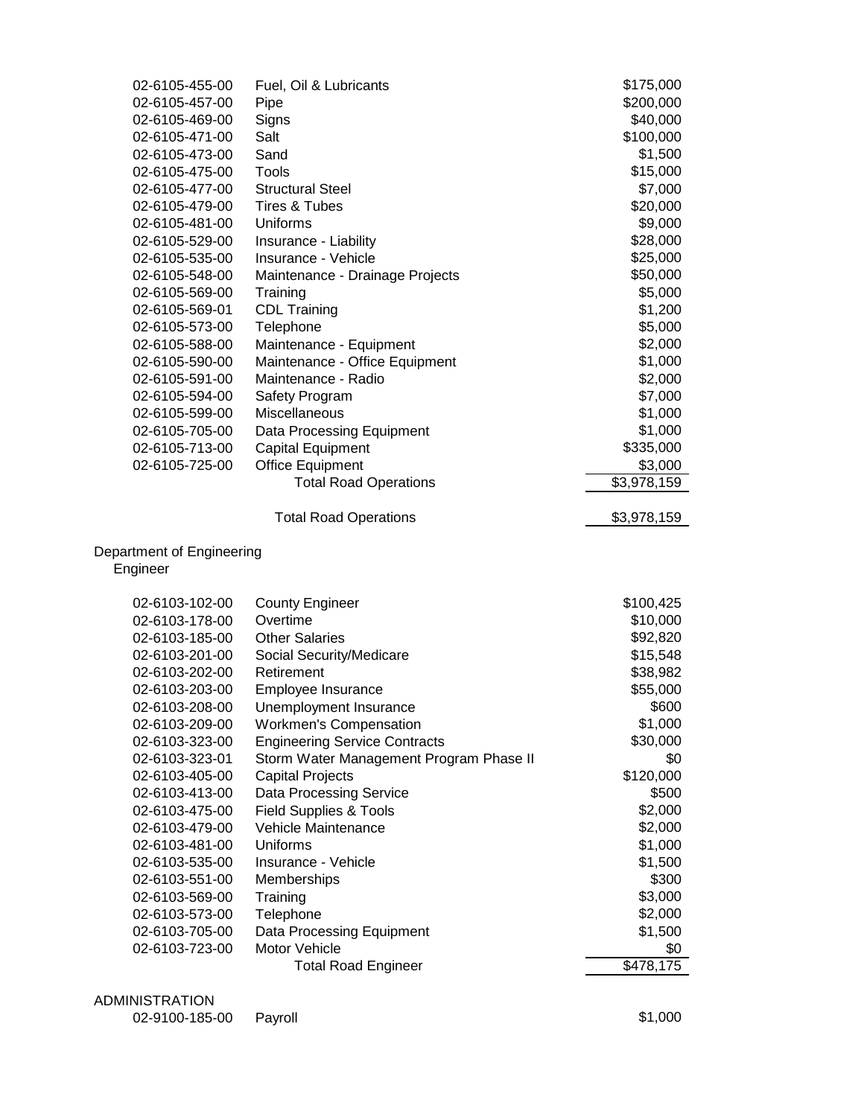| \$200,000<br>02-6105-457-00<br>Pipe<br>Signs<br>\$40,000<br>02-6105-469-00<br>\$100,000<br>02-6105-471-00<br>Salt<br>Sand<br>\$1,500<br>02-6105-473-00<br>02-6105-475-00<br>Tools<br>\$15,000<br><b>Structural Steel</b><br>02-6105-477-00<br>\$7,000<br>02-6105-479-00<br>Tires & Tubes<br>\$20,000<br>\$9,000<br>02-6105-481-00<br>Uniforms<br>\$28,000<br>02-6105-529-00<br>Insurance - Liability<br>02-6105-535-00<br>Insurance - Vehicle<br>\$25,000<br>\$50,000<br>02-6105-548-00<br>Maintenance - Drainage Projects<br>\$5,000<br>02-6105-569-00<br>Training<br><b>CDL Training</b><br>\$1,200<br>02-6105-569-01<br>\$5,000<br>Telephone<br>02-6105-573-00<br>\$2,000<br>02-6105-588-00<br>Maintenance - Equipment<br>Maintenance - Office Equipment<br>\$1,000<br>02-6105-590-00<br>\$2,000<br>Maintenance - Radio<br>02-6105-591-00<br>\$7,000<br>02-6105-594-00<br>Safety Program<br>02-6105-599-00<br>Miscellaneous<br>\$1,000<br>\$1,000<br>02-6105-705-00<br>Data Processing Equipment<br>\$335,000<br>02-6105-713-00<br><b>Capital Equipment</b><br>\$3,000<br>02-6105-725-00<br><b>Office Equipment</b><br><b>Total Road Operations</b><br>\$3,978,159<br><b>Total Road Operations</b><br>\$3,978,159<br>Department of Engineering<br>Engineer<br>02-6103-102-00<br><b>County Engineer</b><br>\$100,425<br>Overtime<br>\$10,000<br>02-6103-178-00<br><b>Other Salaries</b><br>\$92,820<br>02-6103-185-00<br>02-6103-201-00<br>Social Security/Medicare<br>\$15,548<br>\$38,982<br>02-6103-202-00<br>Retirement<br>02-6103-203-00<br>Employee Insurance<br>\$55,000<br>\$600<br>02-6103-208-00<br>Unemployment Insurance<br><b>Workmen's Compensation</b><br>\$1,000<br>02-6103-209-00<br>02-6103-323-00<br><b>Engineering Service Contracts</b><br>\$30,000<br>\$0<br>02-6103-323-01<br>Storm Water Management Program Phase II<br>\$120,000<br>02-6103-405-00<br><b>Capital Projects</b><br>02-6103-413-00<br>Data Processing Service<br>\$500<br>\$2,000<br>02-6103-475-00<br><b>Field Supplies &amp; Tools</b><br>02-6103-479-00<br>Vehicle Maintenance<br>\$2,000<br>02-6103-481-00<br>Uniforms<br>\$1,000<br>\$1,500<br>02-6103-535-00<br>Insurance - Vehicle<br>\$300<br>02-6103-551-00<br>Memberships<br>\$3,000<br>02-6103-569-00<br>Training<br>\$2,000<br>Telephone<br>02-6103-573-00<br>\$1,500<br>02-6103-705-00<br>Data Processing Equipment<br>02-6103-723-00<br>Motor Vehicle<br>\$0<br><b>Total Road Engineer</b><br>\$478,175 | Fuel, Oil & Lubricants | \$175,000 |
|---------------------------------------------------------------------------------------------------------------------------------------------------------------------------------------------------------------------------------------------------------------------------------------------------------------------------------------------------------------------------------------------------------------------------------------------------------------------------------------------------------------------------------------------------------------------------------------------------------------------------------------------------------------------------------------------------------------------------------------------------------------------------------------------------------------------------------------------------------------------------------------------------------------------------------------------------------------------------------------------------------------------------------------------------------------------------------------------------------------------------------------------------------------------------------------------------------------------------------------------------------------------------------------------------------------------------------------------------------------------------------------------------------------------------------------------------------------------------------------------------------------------------------------------------------------------------------------------------------------------------------------------------------------------------------------------------------------------------------------------------------------------------------------------------------------------------------------------------------------------------------------------------------------------------------------------------------------------------------------------------------------------------------------------------------------------------------------------------------------------------------------------------------------------------------------------------------------------------------------------------------------------------------------------------------------------------------------------------------------------------------------------------------------------------------------------------------------|------------------------|-----------|
|                                                                                                                                                                                                                                                                                                                                                                                                                                                                                                                                                                                                                                                                                                                                                                                                                                                                                                                                                                                                                                                                                                                                                                                                                                                                                                                                                                                                                                                                                                                                                                                                                                                                                                                                                                                                                                                                                                                                                                                                                                                                                                                                                                                                                                                                                                                                                                                                                                                               |                        |           |
|                                                                                                                                                                                                                                                                                                                                                                                                                                                                                                                                                                                                                                                                                                                                                                                                                                                                                                                                                                                                                                                                                                                                                                                                                                                                                                                                                                                                                                                                                                                                                                                                                                                                                                                                                                                                                                                                                                                                                                                                                                                                                                                                                                                                                                                                                                                                                                                                                                                               |                        |           |
|                                                                                                                                                                                                                                                                                                                                                                                                                                                                                                                                                                                                                                                                                                                                                                                                                                                                                                                                                                                                                                                                                                                                                                                                                                                                                                                                                                                                                                                                                                                                                                                                                                                                                                                                                                                                                                                                                                                                                                                                                                                                                                                                                                                                                                                                                                                                                                                                                                                               |                        |           |
|                                                                                                                                                                                                                                                                                                                                                                                                                                                                                                                                                                                                                                                                                                                                                                                                                                                                                                                                                                                                                                                                                                                                                                                                                                                                                                                                                                                                                                                                                                                                                                                                                                                                                                                                                                                                                                                                                                                                                                                                                                                                                                                                                                                                                                                                                                                                                                                                                                                               |                        |           |
|                                                                                                                                                                                                                                                                                                                                                                                                                                                                                                                                                                                                                                                                                                                                                                                                                                                                                                                                                                                                                                                                                                                                                                                                                                                                                                                                                                                                                                                                                                                                                                                                                                                                                                                                                                                                                                                                                                                                                                                                                                                                                                                                                                                                                                                                                                                                                                                                                                                               |                        |           |
|                                                                                                                                                                                                                                                                                                                                                                                                                                                                                                                                                                                                                                                                                                                                                                                                                                                                                                                                                                                                                                                                                                                                                                                                                                                                                                                                                                                                                                                                                                                                                                                                                                                                                                                                                                                                                                                                                                                                                                                                                                                                                                                                                                                                                                                                                                                                                                                                                                                               |                        |           |
|                                                                                                                                                                                                                                                                                                                                                                                                                                                                                                                                                                                                                                                                                                                                                                                                                                                                                                                                                                                                                                                                                                                                                                                                                                                                                                                                                                                                                                                                                                                                                                                                                                                                                                                                                                                                                                                                                                                                                                                                                                                                                                                                                                                                                                                                                                                                                                                                                                                               |                        |           |
|                                                                                                                                                                                                                                                                                                                                                                                                                                                                                                                                                                                                                                                                                                                                                                                                                                                                                                                                                                                                                                                                                                                                                                                                                                                                                                                                                                                                                                                                                                                                                                                                                                                                                                                                                                                                                                                                                                                                                                                                                                                                                                                                                                                                                                                                                                                                                                                                                                                               |                        |           |
|                                                                                                                                                                                                                                                                                                                                                                                                                                                                                                                                                                                                                                                                                                                                                                                                                                                                                                                                                                                                                                                                                                                                                                                                                                                                                                                                                                                                                                                                                                                                                                                                                                                                                                                                                                                                                                                                                                                                                                                                                                                                                                                                                                                                                                                                                                                                                                                                                                                               |                        |           |
|                                                                                                                                                                                                                                                                                                                                                                                                                                                                                                                                                                                                                                                                                                                                                                                                                                                                                                                                                                                                                                                                                                                                                                                                                                                                                                                                                                                                                                                                                                                                                                                                                                                                                                                                                                                                                                                                                                                                                                                                                                                                                                                                                                                                                                                                                                                                                                                                                                                               |                        |           |
|                                                                                                                                                                                                                                                                                                                                                                                                                                                                                                                                                                                                                                                                                                                                                                                                                                                                                                                                                                                                                                                                                                                                                                                                                                                                                                                                                                                                                                                                                                                                                                                                                                                                                                                                                                                                                                                                                                                                                                                                                                                                                                                                                                                                                                                                                                                                                                                                                                                               |                        |           |
|                                                                                                                                                                                                                                                                                                                                                                                                                                                                                                                                                                                                                                                                                                                                                                                                                                                                                                                                                                                                                                                                                                                                                                                                                                                                                                                                                                                                                                                                                                                                                                                                                                                                                                                                                                                                                                                                                                                                                                                                                                                                                                                                                                                                                                                                                                                                                                                                                                                               |                        |           |
|                                                                                                                                                                                                                                                                                                                                                                                                                                                                                                                                                                                                                                                                                                                                                                                                                                                                                                                                                                                                                                                                                                                                                                                                                                                                                                                                                                                                                                                                                                                                                                                                                                                                                                                                                                                                                                                                                                                                                                                                                                                                                                                                                                                                                                                                                                                                                                                                                                                               |                        |           |
|                                                                                                                                                                                                                                                                                                                                                                                                                                                                                                                                                                                                                                                                                                                                                                                                                                                                                                                                                                                                                                                                                                                                                                                                                                                                                                                                                                                                                                                                                                                                                                                                                                                                                                                                                                                                                                                                                                                                                                                                                                                                                                                                                                                                                                                                                                                                                                                                                                                               |                        |           |
|                                                                                                                                                                                                                                                                                                                                                                                                                                                                                                                                                                                                                                                                                                                                                                                                                                                                                                                                                                                                                                                                                                                                                                                                                                                                                                                                                                                                                                                                                                                                                                                                                                                                                                                                                                                                                                                                                                                                                                                                                                                                                                                                                                                                                                                                                                                                                                                                                                                               |                        |           |
|                                                                                                                                                                                                                                                                                                                                                                                                                                                                                                                                                                                                                                                                                                                                                                                                                                                                                                                                                                                                                                                                                                                                                                                                                                                                                                                                                                                                                                                                                                                                                                                                                                                                                                                                                                                                                                                                                                                                                                                                                                                                                                                                                                                                                                                                                                                                                                                                                                                               |                        |           |
|                                                                                                                                                                                                                                                                                                                                                                                                                                                                                                                                                                                                                                                                                                                                                                                                                                                                                                                                                                                                                                                                                                                                                                                                                                                                                                                                                                                                                                                                                                                                                                                                                                                                                                                                                                                                                                                                                                                                                                                                                                                                                                                                                                                                                                                                                                                                                                                                                                                               |                        |           |
|                                                                                                                                                                                                                                                                                                                                                                                                                                                                                                                                                                                                                                                                                                                                                                                                                                                                                                                                                                                                                                                                                                                                                                                                                                                                                                                                                                                                                                                                                                                                                                                                                                                                                                                                                                                                                                                                                                                                                                                                                                                                                                                                                                                                                                                                                                                                                                                                                                                               |                        |           |
|                                                                                                                                                                                                                                                                                                                                                                                                                                                                                                                                                                                                                                                                                                                                                                                                                                                                                                                                                                                                                                                                                                                                                                                                                                                                                                                                                                                                                                                                                                                                                                                                                                                                                                                                                                                                                                                                                                                                                                                                                                                                                                                                                                                                                                                                                                                                                                                                                                                               |                        |           |
|                                                                                                                                                                                                                                                                                                                                                                                                                                                                                                                                                                                                                                                                                                                                                                                                                                                                                                                                                                                                                                                                                                                                                                                                                                                                                                                                                                                                                                                                                                                                                                                                                                                                                                                                                                                                                                                                                                                                                                                                                                                                                                                                                                                                                                                                                                                                                                                                                                                               |                        |           |
|                                                                                                                                                                                                                                                                                                                                                                                                                                                                                                                                                                                                                                                                                                                                                                                                                                                                                                                                                                                                                                                                                                                                                                                                                                                                                                                                                                                                                                                                                                                                                                                                                                                                                                                                                                                                                                                                                                                                                                                                                                                                                                                                                                                                                                                                                                                                                                                                                                                               |                        |           |
|                                                                                                                                                                                                                                                                                                                                                                                                                                                                                                                                                                                                                                                                                                                                                                                                                                                                                                                                                                                                                                                                                                                                                                                                                                                                                                                                                                                                                                                                                                                                                                                                                                                                                                                                                                                                                                                                                                                                                                                                                                                                                                                                                                                                                                                                                                                                                                                                                                                               |                        |           |
|                                                                                                                                                                                                                                                                                                                                                                                                                                                                                                                                                                                                                                                                                                                                                                                                                                                                                                                                                                                                                                                                                                                                                                                                                                                                                                                                                                                                                                                                                                                                                                                                                                                                                                                                                                                                                                                                                                                                                                                                                                                                                                                                                                                                                                                                                                                                                                                                                                                               |                        |           |
|                                                                                                                                                                                                                                                                                                                                                                                                                                                                                                                                                                                                                                                                                                                                                                                                                                                                                                                                                                                                                                                                                                                                                                                                                                                                                                                                                                                                                                                                                                                                                                                                                                                                                                                                                                                                                                                                                                                                                                                                                                                                                                                                                                                                                                                                                                                                                                                                                                                               |                        |           |
|                                                                                                                                                                                                                                                                                                                                                                                                                                                                                                                                                                                                                                                                                                                                                                                                                                                                                                                                                                                                                                                                                                                                                                                                                                                                                                                                                                                                                                                                                                                                                                                                                                                                                                                                                                                                                                                                                                                                                                                                                                                                                                                                                                                                                                                                                                                                                                                                                                                               |                        |           |
|                                                                                                                                                                                                                                                                                                                                                                                                                                                                                                                                                                                                                                                                                                                                                                                                                                                                                                                                                                                                                                                                                                                                                                                                                                                                                                                                                                                                                                                                                                                                                                                                                                                                                                                                                                                                                                                                                                                                                                                                                                                                                                                                                                                                                                                                                                                                                                                                                                                               |                        |           |
|                                                                                                                                                                                                                                                                                                                                                                                                                                                                                                                                                                                                                                                                                                                                                                                                                                                                                                                                                                                                                                                                                                                                                                                                                                                                                                                                                                                                                                                                                                                                                                                                                                                                                                                                                                                                                                                                                                                                                                                                                                                                                                                                                                                                                                                                                                                                                                                                                                                               |                        |           |
|                                                                                                                                                                                                                                                                                                                                                                                                                                                                                                                                                                                                                                                                                                                                                                                                                                                                                                                                                                                                                                                                                                                                                                                                                                                                                                                                                                                                                                                                                                                                                                                                                                                                                                                                                                                                                                                                                                                                                                                                                                                                                                                                                                                                                                                                                                                                                                                                                                                               |                        |           |
|                                                                                                                                                                                                                                                                                                                                                                                                                                                                                                                                                                                                                                                                                                                                                                                                                                                                                                                                                                                                                                                                                                                                                                                                                                                                                                                                                                                                                                                                                                                                                                                                                                                                                                                                                                                                                                                                                                                                                                                                                                                                                                                                                                                                                                                                                                                                                                                                                                                               |                        |           |
|                                                                                                                                                                                                                                                                                                                                                                                                                                                                                                                                                                                                                                                                                                                                                                                                                                                                                                                                                                                                                                                                                                                                                                                                                                                                                                                                                                                                                                                                                                                                                                                                                                                                                                                                                                                                                                                                                                                                                                                                                                                                                                                                                                                                                                                                                                                                                                                                                                                               |                        |           |
|                                                                                                                                                                                                                                                                                                                                                                                                                                                                                                                                                                                                                                                                                                                                                                                                                                                                                                                                                                                                                                                                                                                                                                                                                                                                                                                                                                                                                                                                                                                                                                                                                                                                                                                                                                                                                                                                                                                                                                                                                                                                                                                                                                                                                                                                                                                                                                                                                                                               |                        |           |
|                                                                                                                                                                                                                                                                                                                                                                                                                                                                                                                                                                                                                                                                                                                                                                                                                                                                                                                                                                                                                                                                                                                                                                                                                                                                                                                                                                                                                                                                                                                                                                                                                                                                                                                                                                                                                                                                                                                                                                                                                                                                                                                                                                                                                                                                                                                                                                                                                                                               |                        |           |
|                                                                                                                                                                                                                                                                                                                                                                                                                                                                                                                                                                                                                                                                                                                                                                                                                                                                                                                                                                                                                                                                                                                                                                                                                                                                                                                                                                                                                                                                                                                                                                                                                                                                                                                                                                                                                                                                                                                                                                                                                                                                                                                                                                                                                                                                                                                                                                                                                                                               |                        |           |
|                                                                                                                                                                                                                                                                                                                                                                                                                                                                                                                                                                                                                                                                                                                                                                                                                                                                                                                                                                                                                                                                                                                                                                                                                                                                                                                                                                                                                                                                                                                                                                                                                                                                                                                                                                                                                                                                                                                                                                                                                                                                                                                                                                                                                                                                                                                                                                                                                                                               |                        |           |
|                                                                                                                                                                                                                                                                                                                                                                                                                                                                                                                                                                                                                                                                                                                                                                                                                                                                                                                                                                                                                                                                                                                                                                                                                                                                                                                                                                                                                                                                                                                                                                                                                                                                                                                                                                                                                                                                                                                                                                                                                                                                                                                                                                                                                                                                                                                                                                                                                                                               |                        |           |
|                                                                                                                                                                                                                                                                                                                                                                                                                                                                                                                                                                                                                                                                                                                                                                                                                                                                                                                                                                                                                                                                                                                                                                                                                                                                                                                                                                                                                                                                                                                                                                                                                                                                                                                                                                                                                                                                                                                                                                                                                                                                                                                                                                                                                                                                                                                                                                                                                                                               |                        |           |
|                                                                                                                                                                                                                                                                                                                                                                                                                                                                                                                                                                                                                                                                                                                                                                                                                                                                                                                                                                                                                                                                                                                                                                                                                                                                                                                                                                                                                                                                                                                                                                                                                                                                                                                                                                                                                                                                                                                                                                                                                                                                                                                                                                                                                                                                                                                                                                                                                                                               |                        |           |
|                                                                                                                                                                                                                                                                                                                                                                                                                                                                                                                                                                                                                                                                                                                                                                                                                                                                                                                                                                                                                                                                                                                                                                                                                                                                                                                                                                                                                                                                                                                                                                                                                                                                                                                                                                                                                                                                                                                                                                                                                                                                                                                                                                                                                                                                                                                                                                                                                                                               |                        |           |
|                                                                                                                                                                                                                                                                                                                                                                                                                                                                                                                                                                                                                                                                                                                                                                                                                                                                                                                                                                                                                                                                                                                                                                                                                                                                                                                                                                                                                                                                                                                                                                                                                                                                                                                                                                                                                                                                                                                                                                                                                                                                                                                                                                                                                                                                                                                                                                                                                                                               |                        |           |
|                                                                                                                                                                                                                                                                                                                                                                                                                                                                                                                                                                                                                                                                                                                                                                                                                                                                                                                                                                                                                                                                                                                                                                                                                                                                                                                                                                                                                                                                                                                                                                                                                                                                                                                                                                                                                                                                                                                                                                                                                                                                                                                                                                                                                                                                                                                                                                                                                                                               |                        |           |
|                                                                                                                                                                                                                                                                                                                                                                                                                                                                                                                                                                                                                                                                                                                                                                                                                                                                                                                                                                                                                                                                                                                                                                                                                                                                                                                                                                                                                                                                                                                                                                                                                                                                                                                                                                                                                                                                                                                                                                                                                                                                                                                                                                                                                                                                                                                                                                                                                                                               |                        |           |
|                                                                                                                                                                                                                                                                                                                                                                                                                                                                                                                                                                                                                                                                                                                                                                                                                                                                                                                                                                                                                                                                                                                                                                                                                                                                                                                                                                                                                                                                                                                                                                                                                                                                                                                                                                                                                                                                                                                                                                                                                                                                                                                                                                                                                                                                                                                                                                                                                                                               |                        |           |
|                                                                                                                                                                                                                                                                                                                                                                                                                                                                                                                                                                                                                                                                                                                                                                                                                                                                                                                                                                                                                                                                                                                                                                                                                                                                                                                                                                                                                                                                                                                                                                                                                                                                                                                                                                                                                                                                                                                                                                                                                                                                                                                                                                                                                                                                                                                                                                                                                                                               |                        |           |
|                                                                                                                                                                                                                                                                                                                                                                                                                                                                                                                                                                                                                                                                                                                                                                                                                                                                                                                                                                                                                                                                                                                                                                                                                                                                                                                                                                                                                                                                                                                                                                                                                                                                                                                                                                                                                                                                                                                                                                                                                                                                                                                                                                                                                                                                                                                                                                                                                                                               |                        |           |
|                                                                                                                                                                                                                                                                                                                                                                                                                                                                                                                                                                                                                                                                                                                                                                                                                                                                                                                                                                                                                                                                                                                                                                                                                                                                                                                                                                                                                                                                                                                                                                                                                                                                                                                                                                                                                                                                                                                                                                                                                                                                                                                                                                                                                                                                                                                                                                                                                                                               |                        |           |
|                                                                                                                                                                                                                                                                                                                                                                                                                                                                                                                                                                                                                                                                                                                                                                                                                                                                                                                                                                                                                                                                                                                                                                                                                                                                                                                                                                                                                                                                                                                                                                                                                                                                                                                                                                                                                                                                                                                                                                                                                                                                                                                                                                                                                                                                                                                                                                                                                                                               |                        |           |
|                                                                                                                                                                                                                                                                                                                                                                                                                                                                                                                                                                                                                                                                                                                                                                                                                                                                                                                                                                                                                                                                                                                                                                                                                                                                                                                                                                                                                                                                                                                                                                                                                                                                                                                                                                                                                                                                                                                                                                                                                                                                                                                                                                                                                                                                                                                                                                                                                                                               |                        |           |
|                                                                                                                                                                                                                                                                                                                                                                                                                                                                                                                                                                                                                                                                                                                                                                                                                                                                                                                                                                                                                                                                                                                                                                                                                                                                                                                                                                                                                                                                                                                                                                                                                                                                                                                                                                                                                                                                                                                                                                                                                                                                                                                                                                                                                                                                                                                                                                                                                                                               |                        |           |
|                                                                                                                                                                                                                                                                                                                                                                                                                                                                                                                                                                                                                                                                                                                                                                                                                                                                                                                                                                                                                                                                                                                                                                                                                                                                                                                                                                                                                                                                                                                                                                                                                                                                                                                                                                                                                                                                                                                                                                                                                                                                                                                                                                                                                                                                                                                                                                                                                                                               |                        |           |

| ADMINISTRATION         |  |         |
|------------------------|--|---------|
| 02-9100-185-00 Payroll |  | \$1,000 |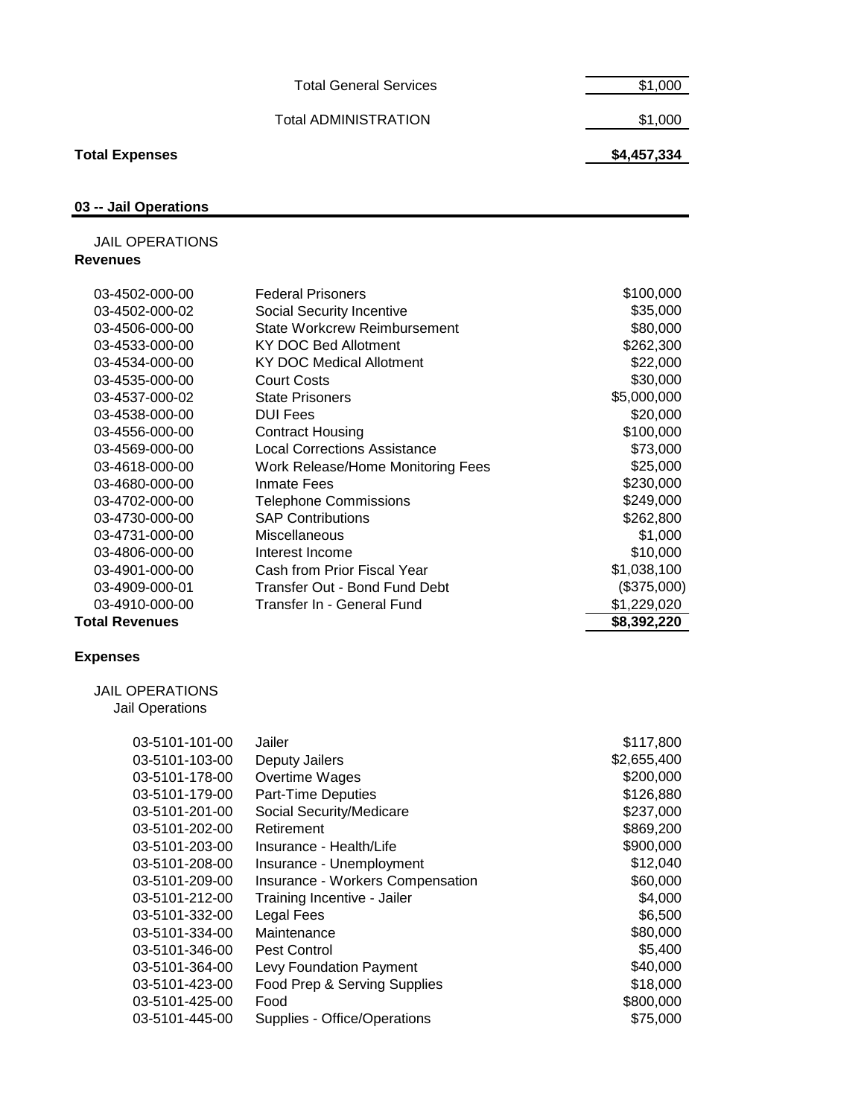|                               | \$4,457,334 |
|-------------------------------|-------------|
| <b>Total ADMINISTRATION</b>   | \$1,000     |
| <b>Total General Services</b> | \$1,000     |
|                               |             |

# **03 -- Jail Operations**

**Total Expenses** 

 JAIL OPERATIONS **Revenues**

| 03-4502-000-00        | <b>Federal Prisoners</b>            | \$100,000   |
|-----------------------|-------------------------------------|-------------|
| 03-4502-000-02        | Social Security Incentive           | \$35,000    |
| 03-4506-000-00        | State Workcrew Reimbursement        | \$80,000    |
| 03-4533-000-00        | KY DOC Bed Allotment                | \$262,300   |
| 03-4534-000-00        | KY DOC Medical Allotment            | \$22,000    |
| 03-4535-000-00        | <b>Court Costs</b>                  | \$30,000    |
| 03-4537-000-02        | <b>State Prisoners</b>              | \$5,000,000 |
| 03-4538-000-00        | <b>DUI Fees</b>                     | \$20,000    |
| 03-4556-000-00        | <b>Contract Housing</b>             | \$100,000   |
| 03-4569-000-00        | <b>Local Corrections Assistance</b> | \$73,000    |
| 03-4618-000-00        | Work Release/Home Monitoring Fees   | \$25,000    |
| 03-4680-000-00        | Inmate Fees                         | \$230,000   |
| 03-4702-000-00        | <b>Telephone Commissions</b>        | \$249,000   |
| 03-4730-000-00        | <b>SAP Contributions</b>            | \$262,800   |
| 03-4731-000-00        | <b>Miscellaneous</b>                | \$1,000     |
| 03-4806-000-00        | Interest Income                     | \$10,000    |
| 03-4901-000-00        | Cash from Prior Fiscal Year         | \$1,038,100 |
| 03-4909-000-01        | Transfer Out - Bond Fund Debt       | (\$375,000) |
| 03-4910-000-00        | Transfer In - General Fund          | \$1,229,020 |
| <b>Total Revenues</b> |                                     | \$8,392,220 |
|                       |                                     |             |
| <b>Expenses</b>       |                                     |             |

 JAIL OPERATIONS Jail Operations

| 03-5101-101-00 | Jailer                           | \$117,800   |
|----------------|----------------------------------|-------------|
| 03-5101-103-00 | Deputy Jailers                   | \$2,655,400 |
| 03-5101-178-00 | Overtime Wages                   | \$200,000   |
| 03-5101-179-00 | Part-Time Deputies               | \$126,880   |
| 03-5101-201-00 | Social Security/Medicare         | \$237,000   |
| 03-5101-202-00 | Retirement                       | \$869,200   |
| 03-5101-203-00 | Insurance - Health/Life          | \$900,000   |
| 03-5101-208-00 | Insurance - Unemployment         | \$12,040    |
| 03-5101-209-00 | Insurance - Workers Compensation | \$60,000    |
| 03-5101-212-00 | Training Incentive - Jailer      | \$4,000     |
| 03-5101-332-00 | Legal Fees                       | \$6,500     |
| 03-5101-334-00 | Maintenance                      | \$80,000    |
| 03-5101-346-00 | Pest Control                     | \$5,400     |
| 03-5101-364-00 | Levy Foundation Payment          | \$40,000    |
| 03-5101-423-00 | Food Prep & Serving Supplies     | \$18,000    |
| 03-5101-425-00 | Food                             | \$800,000   |
| 03-5101-445-00 | Supplies - Office/Operations     | \$75,000    |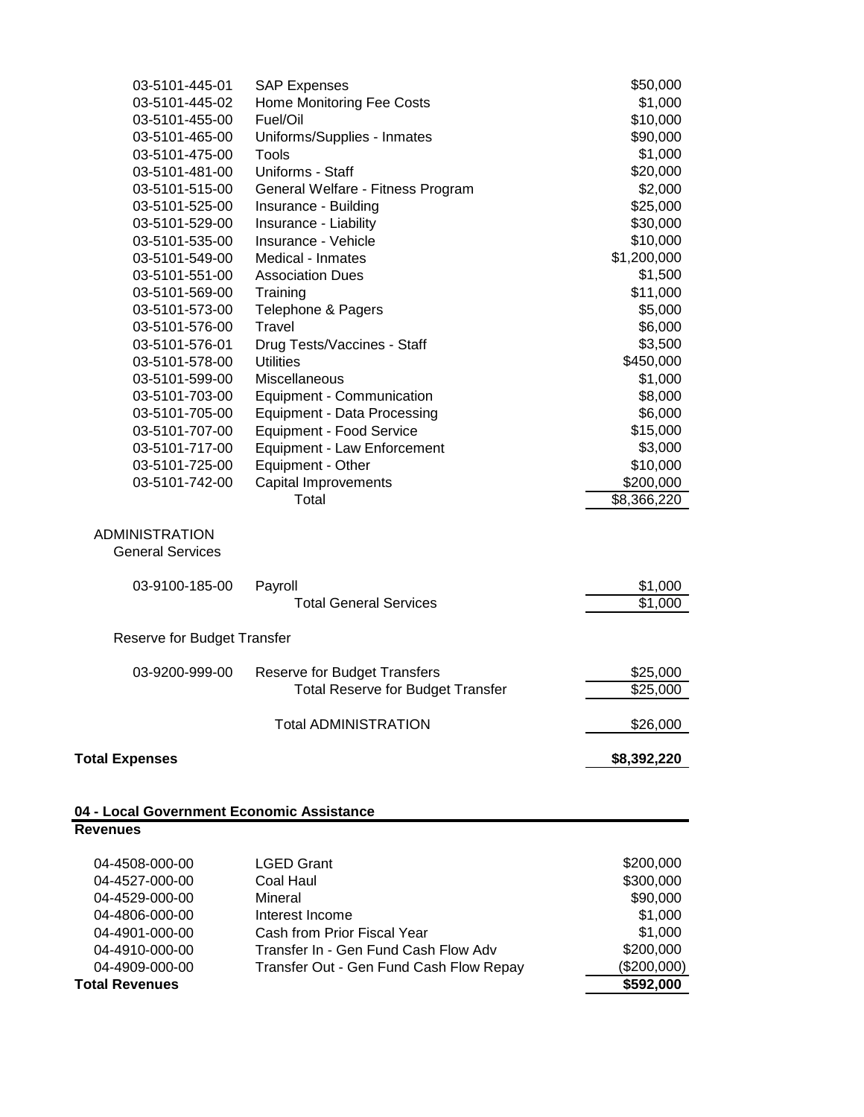| 03-5101-445-01                                               | <b>SAP Expenses</b>                      | \$50,000    |
|--------------------------------------------------------------|------------------------------------------|-------------|
| 03-5101-445-02                                               | Home Monitoring Fee Costs                | \$1,000     |
| 03-5101-455-00                                               | Fuel/Oil                                 | \$10,000    |
| 03-5101-465-00                                               | Uniforms/Supplies - Inmates              | \$90,000    |
| 03-5101-475-00                                               | Tools                                    | \$1,000     |
| 03-5101-481-00                                               | Uniforms - Staff                         | \$20,000    |
| 03-5101-515-00                                               | General Welfare - Fitness Program        | \$2,000     |
| 03-5101-525-00                                               | Insurance - Building                     | \$25,000    |
| 03-5101-529-00                                               | Insurance - Liability                    | \$30,000    |
| 03-5101-535-00                                               | Insurance - Vehicle                      | \$10,000    |
| 03-5101-549-00                                               | Medical - Inmates                        | \$1,200,000 |
| 03-5101-551-00                                               | <b>Association Dues</b>                  | \$1,500     |
| 03-5101-569-00                                               | Training                                 | \$11,000    |
| 03-5101-573-00                                               | Telephone & Pagers                       | \$5,000     |
| 03-5101-576-00                                               | Travel                                   | \$6,000     |
| 03-5101-576-01                                               | Drug Tests/Vaccines - Staff              | \$3,500     |
| 03-5101-578-00                                               | <b>Utilities</b>                         | \$450,000   |
| 03-5101-599-00                                               | Miscellaneous                            | \$1,000     |
| 03-5101-703-00                                               | Equipment - Communication                | \$8,000     |
| 03-5101-705-00                                               | Equipment - Data Processing              | \$6,000     |
| 03-5101-707-00                                               | <b>Equipment - Food Service</b>          | \$15,000    |
| 03-5101-717-00                                               | <b>Equipment - Law Enforcement</b>       | \$3,000     |
| 03-5101-725-00                                               | Equipment - Other                        | \$10,000    |
| 03-5101-742-00                                               | <b>Capital Improvements</b>              | \$200,000   |
|                                                              | Total                                    | \$8,366,220 |
| <b>ADMINISTRATION</b><br><b>General Services</b>             |                                          |             |
| 03-9100-185-00                                               | Payroll                                  | \$1,000     |
|                                                              | <b>Total General Services</b>            | \$1,000     |
| Reserve for Budget Transfer                                  |                                          |             |
| 03-9200-999-00                                               | <b>Reserve for Budget Transfers</b>      | \$25,000    |
|                                                              | <b>Total Reserve for Budget Transfer</b> | \$25,000    |
|                                                              | <b>Total ADMINISTRATION</b>              | \$26,000    |
| <b>Total Expenses</b>                                        |                                          | \$8,392,220 |
| 04 - Local Government Economic Assistance<br><b>Revenues</b> |                                          |             |

| Total Revenues |                                         | \$592,000   |
|----------------|-----------------------------------------|-------------|
| 04-4909-000-00 | Transfer Out - Gen Fund Cash Flow Repay | (\$200,000) |
| 04-4910-000-00 | Transfer In - Gen Fund Cash Flow Adv    | \$200,000   |
| 04-4901-000-00 | Cash from Prior Fiscal Year             | \$1,000     |
| 04-4806-000-00 | Interest Income                         | \$1,000     |
| 04-4529-000-00 | Mineral                                 | \$90,000    |
| 04-4527-000-00 | Coal Haul                               | \$300,000   |
| 04-4508-000-00 | <b>LGED Grant</b>                       | \$200,000   |
|                |                                         |             |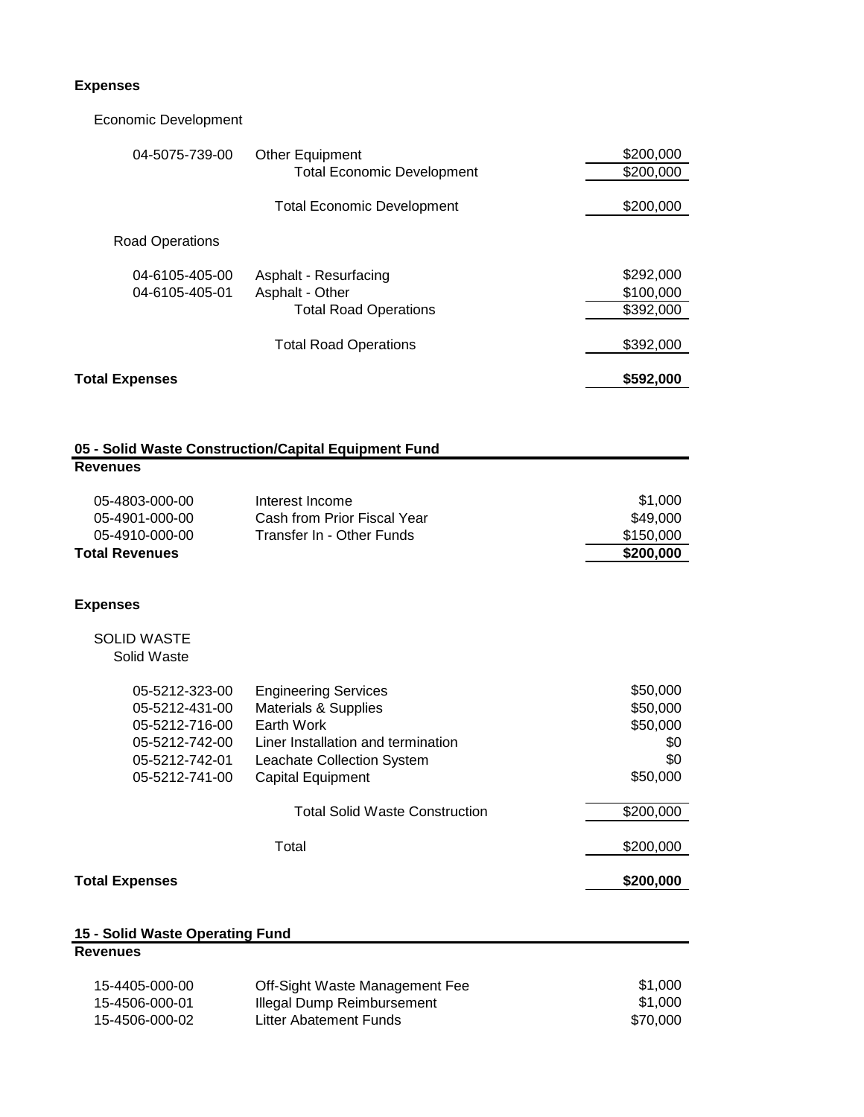### **Expenses**

 Economic Development 04-5075-739-00 Other Equipment \$200,000 Total Economic Development \$200,000 Total Economic Development 6200,000 Road Operations 04-6105-405-00 Asphalt - Resurfacing **\$292,000 \$292,000** 04-6105-405-01 Asphalt - Other \$100,000 Asphalt - Other \$100,000  $\frac{1}{2}$ Total Road Operations \$392,000 Total Road Operations \$392,000 **Total Expenses \$592,000 05 - Solid Waste Construction/Capital Equipment Fund Revenues** 05-4803-000-00 Interest Income \$1,000 05-4901-000-00 Cash from Prior Fiscal Year **649,000** S49,000 05-4910-000-00 Transfer In - Other Funds \$150,000 **Total Revenues \$200,000 Expenses** SOLID WASTE Solid Waste 05-5212-323-00 Engineering Services \$50,000 05-5212-431-00 Materials & Supplies  $0.5 - 5212 - 431 - 00$  Materials & Supplies 05-5212-716-00 Earth Work **\$50,000** Earth Work **\$50,000** 05-5212-742-00 Liner Installation and termination  $$0$ 05-5212-742-01 Leachate Collection System  $$0$  05-5212-741-00 Capital Equipment \$50,000 Total Solid Waste Construction  $$200,000$ Total \$200,000 **Total Expenses \$200,000 15 - Solid Waste Operating Fund Revenues**

| 15-4405-000-00 | Off-Sight Waste Management Fee | \$1,000  |
|----------------|--------------------------------|----------|
| 15-4506-000-01 | Illegal Dump Reimbursement     | \$1,000  |
| 15-4506-000-02 | Litter Abatement Funds         | \$70,000 |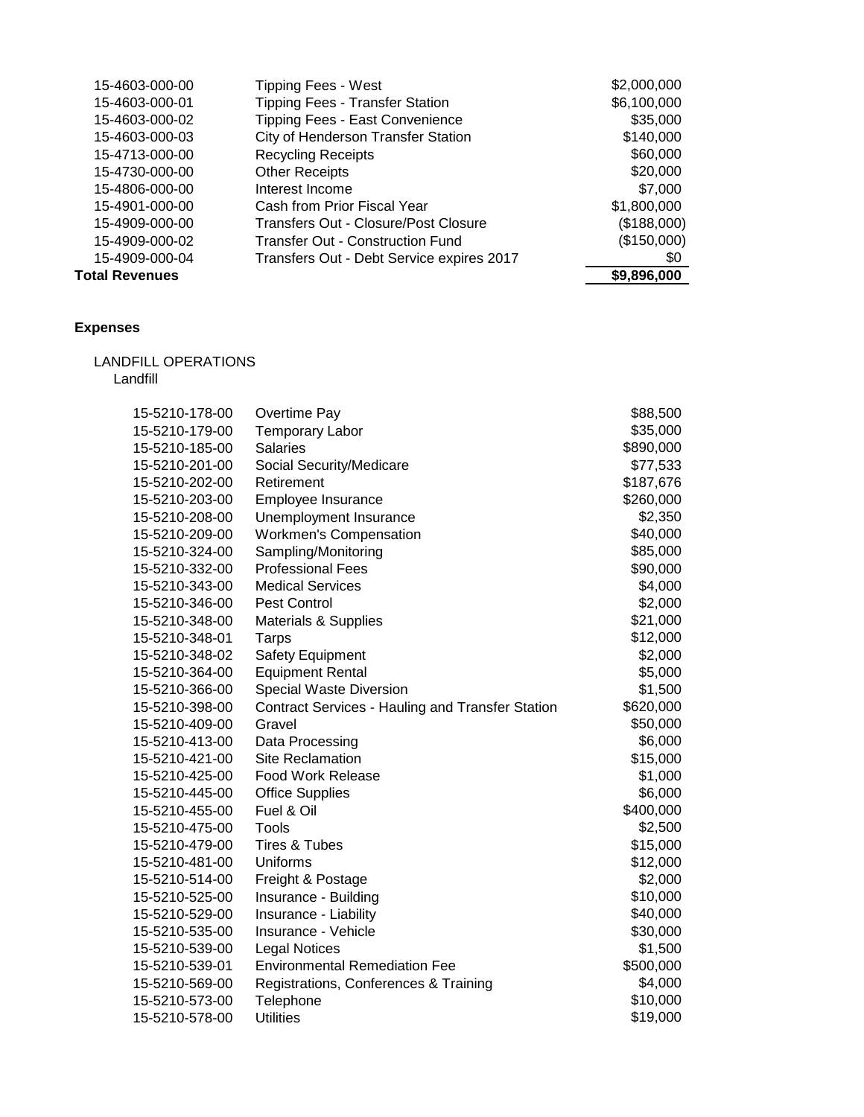| <b>Total Revenues</b> |                                           | \$9,896,000 |
|-----------------------|-------------------------------------------|-------------|
| 15-4909-000-04        | Transfers Out - Debt Service expires 2017 | \$0         |
| 15-4909-000-02        | <b>Transfer Out - Construction Fund</b>   | (\$150,000) |
| 15-4909-000-00        | Transfers Out - Closure/Post Closure      | (\$188,000) |
| 15-4901-000-00        | Cash from Prior Fiscal Year               | \$1,800,000 |
| 15-4806-000-00        | Interest Income                           | \$7,000     |
| 15-4730-000-00        | <b>Other Receipts</b>                     | \$20,000    |
| 15-4713-000-00        | <b>Recycling Receipts</b>                 | \$60,000    |
| 15-4603-000-03        | <b>City of Henderson Transfer Station</b> | \$140,000   |
| 15-4603-000-02        | Tipping Fees - East Convenience           | \$35,000    |
| 15-4603-000-01        | <b>Tipping Fees - Transfer Station</b>    | \$6,100,000 |
| 15-4603-000-00        | <b>Tipping Fees - West</b>                | \$2,000,000 |

# **Expenses**

LANDFILL OPERATIONS

Landfill

| 15-5210-178-00 | Overtime Pay                                            | \$88,500  |
|----------------|---------------------------------------------------------|-----------|
| 15-5210-179-00 | <b>Temporary Labor</b>                                  | \$35,000  |
| 15-5210-185-00 | <b>Salaries</b>                                         | \$890,000 |
| 15-5210-201-00 | Social Security/Medicare                                | \$77,533  |
| 15-5210-202-00 | Retirement                                              | \$187,676 |
| 15-5210-203-00 | Employee Insurance                                      | \$260,000 |
| 15-5210-208-00 | Unemployment Insurance                                  | \$2,350   |
| 15-5210-209-00 | <b>Workmen's Compensation</b>                           | \$40,000  |
| 15-5210-324-00 | Sampling/Monitoring                                     | \$85,000  |
| 15-5210-332-00 | <b>Professional Fees</b>                                | \$90,000  |
| 15-5210-343-00 | <b>Medical Services</b>                                 | \$4,000   |
| 15-5210-346-00 | Pest Control                                            | \$2,000   |
| 15-5210-348-00 | <b>Materials &amp; Supplies</b>                         | \$21,000  |
| 15-5210-348-01 | <b>Tarps</b>                                            | \$12,000  |
| 15-5210-348-02 | Safety Equipment                                        | \$2,000   |
| 15-5210-364-00 | <b>Equipment Rental</b>                                 | \$5,000   |
| 15-5210-366-00 | Special Waste Diversion                                 | \$1,500   |
| 15-5210-398-00 | <b>Contract Services - Hauling and Transfer Station</b> | \$620,000 |
| 15-5210-409-00 | Gravel                                                  | \$50,000  |
| 15-5210-413-00 | Data Processing                                         | \$6,000   |
| 15-5210-421-00 | <b>Site Reclamation</b>                                 | \$15,000  |
| 15-5210-425-00 | <b>Food Work Release</b>                                | \$1,000   |
| 15-5210-445-00 | <b>Office Supplies</b>                                  | \$6,000   |
| 15-5210-455-00 | Fuel & Oil                                              | \$400,000 |
| 15-5210-475-00 | Tools                                                   | \$2,500   |
| 15-5210-479-00 | Tires & Tubes                                           | \$15,000  |
| 15-5210-481-00 | Uniforms                                                | \$12,000  |
| 15-5210-514-00 | Freight & Postage                                       | \$2,000   |
| 15-5210-525-00 | Insurance - Building                                    | \$10,000  |
| 15-5210-529-00 | Insurance - Liability                                   | \$40,000  |
| 15-5210-535-00 | Insurance - Vehicle                                     | \$30,000  |
| 15-5210-539-00 | <b>Legal Notices</b>                                    | \$1,500   |
| 15-5210-539-01 | <b>Environmental Remediation Fee</b>                    | \$500,000 |
| 15-5210-569-00 | Registrations, Conferences & Training                   | \$4,000   |
| 15-5210-573-00 | Telephone                                               | \$10,000  |
| 15-5210-578-00 | <b>Utilities</b>                                        | \$19,000  |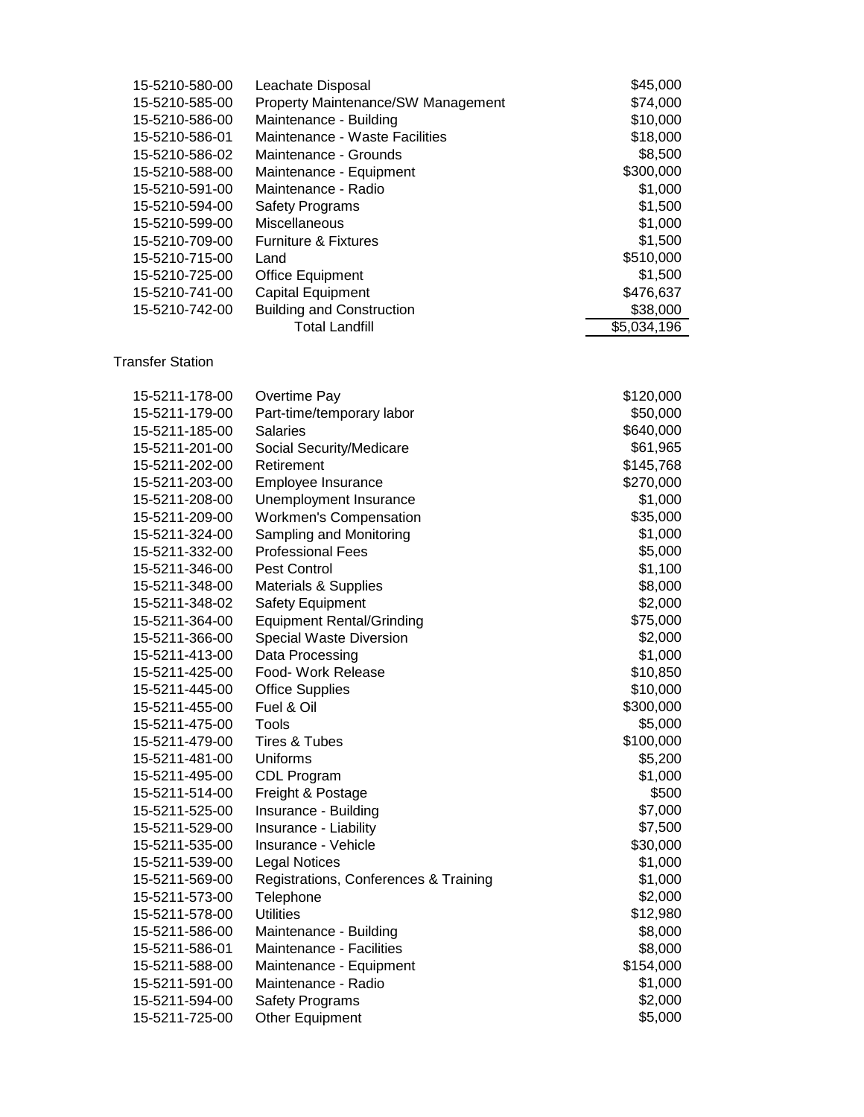| 15-5210-580-00 | Leachate Disposal                  | \$45,000    |
|----------------|------------------------------------|-------------|
| 15-5210-585-00 | Property Maintenance/SW Management | \$74,000    |
| 15-5210-586-00 | Maintenance - Building             | \$10,000    |
| 15-5210-586-01 | Maintenance - Waste Facilities     | \$18,000    |
| 15-5210-586-02 | Maintenance - Grounds              | \$8,500     |
| 15-5210-588-00 | Maintenance - Equipment            | \$300,000   |
| 15-5210-591-00 | Maintenance - Radio                | \$1,000     |
| 15-5210-594-00 | <b>Safety Programs</b>             | \$1,500     |
| 15-5210-599-00 | <b>Miscellaneous</b>               | \$1,000     |
| 15-5210-709-00 | <b>Furniture &amp; Fixtures</b>    | \$1,500     |
| 15-5210-715-00 | Land                               | \$510,000   |
| 15-5210-725-00 | <b>Office Equipment</b>            | \$1,500     |
| 15-5210-741-00 | <b>Capital Equipment</b>           | \$476,637   |
| 15-5210-742-00 | <b>Building and Construction</b>   | \$38,000    |
|                | <b>Total Landfill</b>              | \$5,034,196 |

### Transfer Station

| 15-5211-178-00 | Overtime Pay                          | \$120,000 |
|----------------|---------------------------------------|-----------|
| 15-5211-179-00 | Part-time/temporary labor             | \$50,000  |
| 15-5211-185-00 | <b>Salaries</b>                       | \$640,000 |
| 15-5211-201-00 | Social Security/Medicare              | \$61,965  |
| 15-5211-202-00 | Retirement                            | \$145,768 |
| 15-5211-203-00 | Employee Insurance                    | \$270,000 |
| 15-5211-208-00 | Unemployment Insurance                | \$1,000   |
| 15-5211-209-00 | <b>Workmen's Compensation</b>         | \$35,000  |
| 15-5211-324-00 | Sampling and Monitoring               | \$1,000   |
| 15-5211-332-00 | <b>Professional Fees</b>              | \$5,000   |
| 15-5211-346-00 | <b>Pest Control</b>                   | \$1,100   |
| 15-5211-348-00 | <b>Materials &amp; Supplies</b>       | \$8,000   |
| 15-5211-348-02 | Safety Equipment                      | \$2,000   |
| 15-5211-364-00 | <b>Equipment Rental/Grinding</b>      | \$75,000  |
| 15-5211-366-00 | Special Waste Diversion               | \$2,000   |
| 15-5211-413-00 | Data Processing                       | \$1,000   |
| 15-5211-425-00 | Food- Work Release                    | \$10,850  |
| 15-5211-445-00 | <b>Office Supplies</b>                | \$10,000  |
| 15-5211-455-00 | Fuel & Oil                            | \$300,000 |
| 15-5211-475-00 | Tools                                 | \$5,000   |
| 15-5211-479-00 | Tires & Tubes                         | \$100,000 |
| 15-5211-481-00 | Uniforms                              | \$5,200   |
| 15-5211-495-00 | <b>CDL Program</b>                    | \$1,000   |
| 15-5211-514-00 | Freight & Postage                     | \$500     |
| 15-5211-525-00 | Insurance - Building                  | \$7,000   |
| 15-5211-529-00 | Insurance - Liability                 | \$7,500   |
| 15-5211-535-00 | Insurance - Vehicle                   | \$30,000  |
| 15-5211-539-00 | <b>Legal Notices</b>                  | \$1,000   |
| 15-5211-569-00 | Registrations, Conferences & Training | \$1,000   |
| 15-5211-573-00 | Telephone                             | \$2,000   |
| 15-5211-578-00 | <b>Utilities</b>                      | \$12,980  |
| 15-5211-586-00 | Maintenance - Building                | \$8,000   |
| 15-5211-586-01 | Maintenance - Facilities              | \$8,000   |
| 15-5211-588-00 | Maintenance - Equipment               | \$154,000 |
| 15-5211-591-00 | Maintenance - Radio                   | \$1,000   |
| 15-5211-594-00 | <b>Safety Programs</b>                | \$2,000   |
| 15-5211-725-00 | Other Equipment                       | \$5,000   |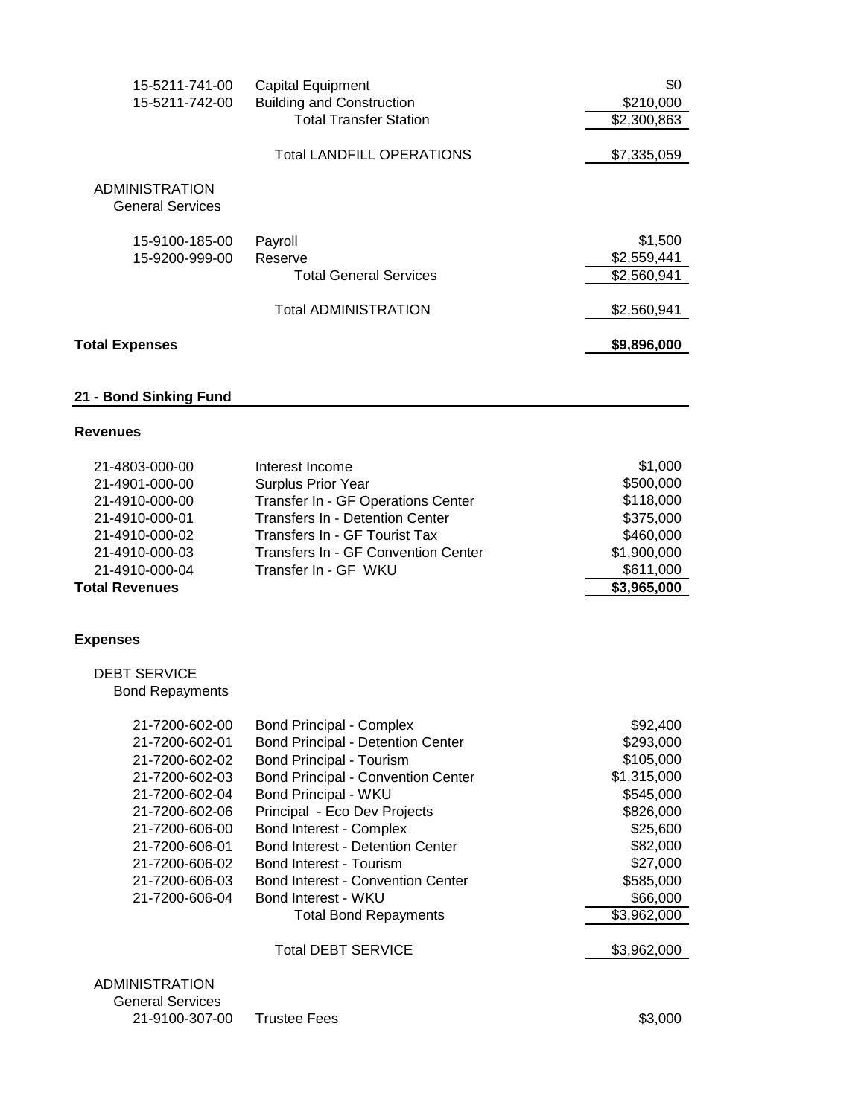| 15-5211-741-00                                   | <b>Capital Equipment</b>         | \$0         |
|--------------------------------------------------|----------------------------------|-------------|
| 15-5211-742-00                                   | <b>Building and Construction</b> | \$210,000   |
|                                                  | <b>Total Transfer Station</b>    | \$2,300,863 |
|                                                  | <b>Total LANDFILL OPERATIONS</b> | \$7,335,059 |
| <b>ADMINISTRATION</b><br><b>General Services</b> |                                  |             |
| 15-9100-185-00                                   | Payroll                          | \$1,500     |
| 15-9200-999-00                                   | Reserve                          | \$2,559,441 |
|                                                  | <b>Total General Services</b>    | \$2,560,941 |
|                                                  | <b>Total ADMINISTRATION</b>      | \$2,560,941 |
| <b>Total Expenses</b>                            |                                  | \$9,896,000 |

# **21 - Bond Sinking Fund**

#### **Revenues**

| Total Revenues |                                     | \$3,965,000 |
|----------------|-------------------------------------|-------------|
| 21-4910-000-04 | Transfer In - GF WKU                | \$611,000   |
| 21-4910-000-03 | Transfers In - GF Convention Center | \$1,900,000 |
| 21-4910-000-02 | Transfers In - GF Tourist Tax       | \$460,000   |
| 21-4910-000-01 | Transfers In - Detention Center     | \$375,000   |
| 21-4910-000-00 | Transfer In - GF Operations Center  | \$118,000   |
| 21-4901-000-00 | <b>Surplus Prior Year</b>           | \$500,000   |
| 21-4803-000-00 | Interest Income                     | \$1,000     |
|                |                                     |             |

# **Expenses**

 DEBT SERVICE Bond Repayments

| 21-7200-602-00                                   | <b>Bond Principal - Complex</b>           | \$92,400    |
|--------------------------------------------------|-------------------------------------------|-------------|
| 21-7200-602-01                                   | <b>Bond Principal - Detention Center</b>  | \$293,000   |
| 21-7200-602-02                                   | <b>Bond Principal - Tourism</b>           | \$105,000   |
| 21-7200-602-03                                   | <b>Bond Principal - Convention Center</b> | \$1,315,000 |
| 21-7200-602-04                                   | Bond Principal - WKU                      | \$545,000   |
| 21-7200-602-06                                   | Principal - Eco Dev Projects              | \$826,000   |
| 21-7200-606-00                                   | Bond Interest - Complex                   | \$25,600    |
| 21-7200-606-01                                   | Bond Interest - Detention Center          | \$82,000    |
| 21-7200-606-02                                   | Bond Interest - Tourism                   | \$27,000    |
| 21-7200-606-03                                   | <b>Bond Interest - Convention Center</b>  | \$585,000   |
| 21-7200-606-04                                   | Bond Interest - WKU                       | \$66,000    |
|                                                  | <b>Total Bond Repayments</b>              | \$3,962,000 |
|                                                  | <b>Total DEBT SERVICE</b>                 | \$3,962,000 |
| <b>ADMINISTRATION</b><br><b>General Services</b> |                                           |             |

21-9100-307-00 Trustee Fees \$3,000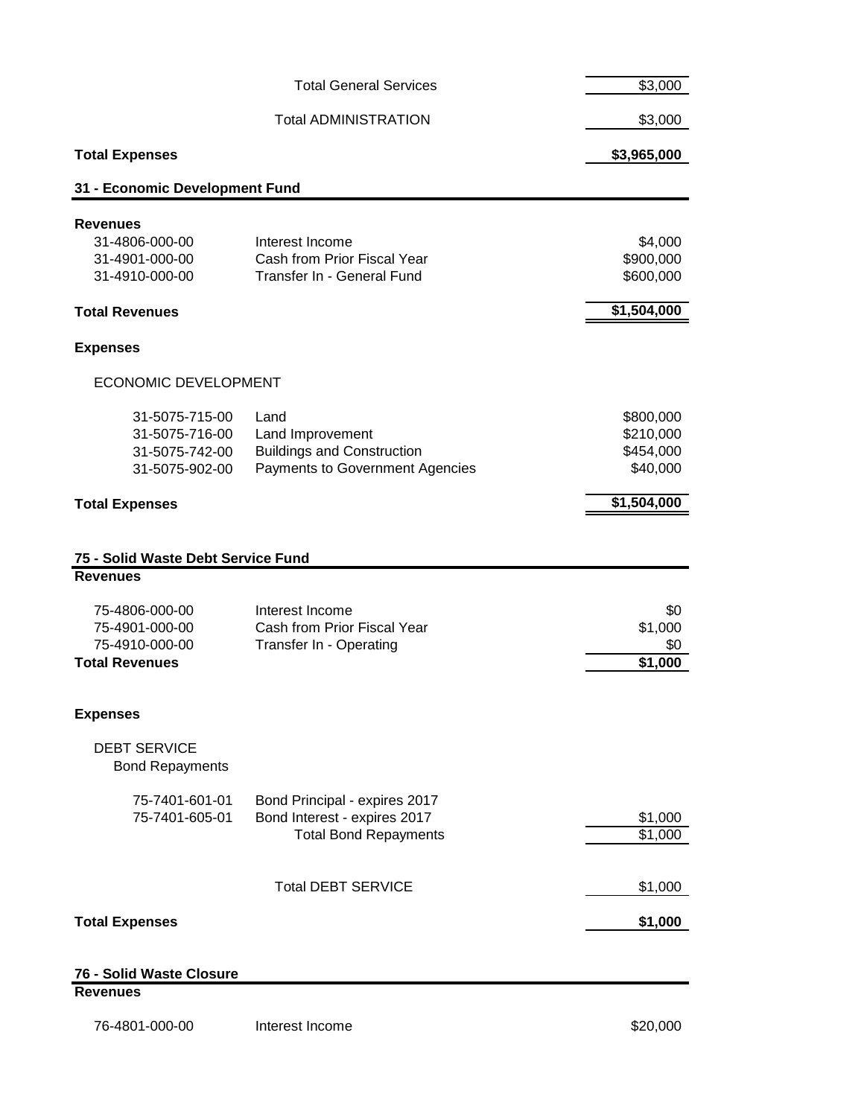|                                                                                                | <b>Total General Services</b>                                                                    | \$3,000                                          |
|------------------------------------------------------------------------------------------------|--------------------------------------------------------------------------------------------------|--------------------------------------------------|
|                                                                                                | <b>Total ADMINISTRATION</b>                                                                      | \$3,000                                          |
| <b>Total Expenses</b>                                                                          |                                                                                                  | \$3,965,000                                      |
| 31 - Economic Development Fund                                                                 |                                                                                                  |                                                  |
| <b>Revenues</b><br>31-4806-000-00<br>31-4901-000-00<br>31-4910-000-00<br><b>Total Revenues</b> | Interest Income<br>Cash from Prior Fiscal Year<br>Transfer In - General Fund                     | \$4,000<br>\$900,000<br>\$600,000<br>\$1,504,000 |
| <b>Expenses</b>                                                                                |                                                                                                  |                                                  |
|                                                                                                |                                                                                                  |                                                  |
| <b>ECONOMIC DEVELOPMENT</b>                                                                    |                                                                                                  |                                                  |
| 31-5075-715-00<br>31-5075-716-00<br>31-5075-742-00<br>31-5075-902-00                           | Land<br>Land Improvement<br><b>Buildings and Construction</b><br>Payments to Government Agencies | \$800,000<br>\$210,000<br>\$454,000<br>\$40,000  |
| <b>Total Expenses</b>                                                                          |                                                                                                  | \$1,504,000                                      |
|                                                                                                |                                                                                                  |                                                  |
| 75 - Solid Waste Debt Service Fund<br><b>Revenues</b>                                          |                                                                                                  |                                                  |
| 75-4806-000-00<br>75-4901-000-00<br>75-4910-000-00<br><b>Total Revenues</b>                    | Interest Income<br>Cash from Prior Fiscal Year<br>Transfer In - Operating                        | \$0<br>\$1,000<br>\$0<br>\$1,000                 |
| <b>Expenses</b>                                                                                |                                                                                                  |                                                  |
| <b>DEBT SERVICE</b><br><b>Bond Repayments</b>                                                  |                                                                                                  |                                                  |
| 75-7401-601-01<br>75-7401-605-01                                                               | Bond Principal - expires 2017<br>Bond Interest - expires 2017<br><b>Total Bond Repayments</b>    | \$1,000<br>\$1,000                               |
|                                                                                                | <b>Total DEBT SERVICE</b>                                                                        | \$1,000                                          |
| <b>Total Expenses</b>                                                                          |                                                                                                  | \$1,000                                          |
|                                                                                                |                                                                                                  |                                                  |
| 76 - Solid Waste Closure<br><b>Revenues</b>                                                    |                                                                                                  |                                                  |
| 76-4801-000-00                                                                                 | Interest Income                                                                                  | \$20,000                                         |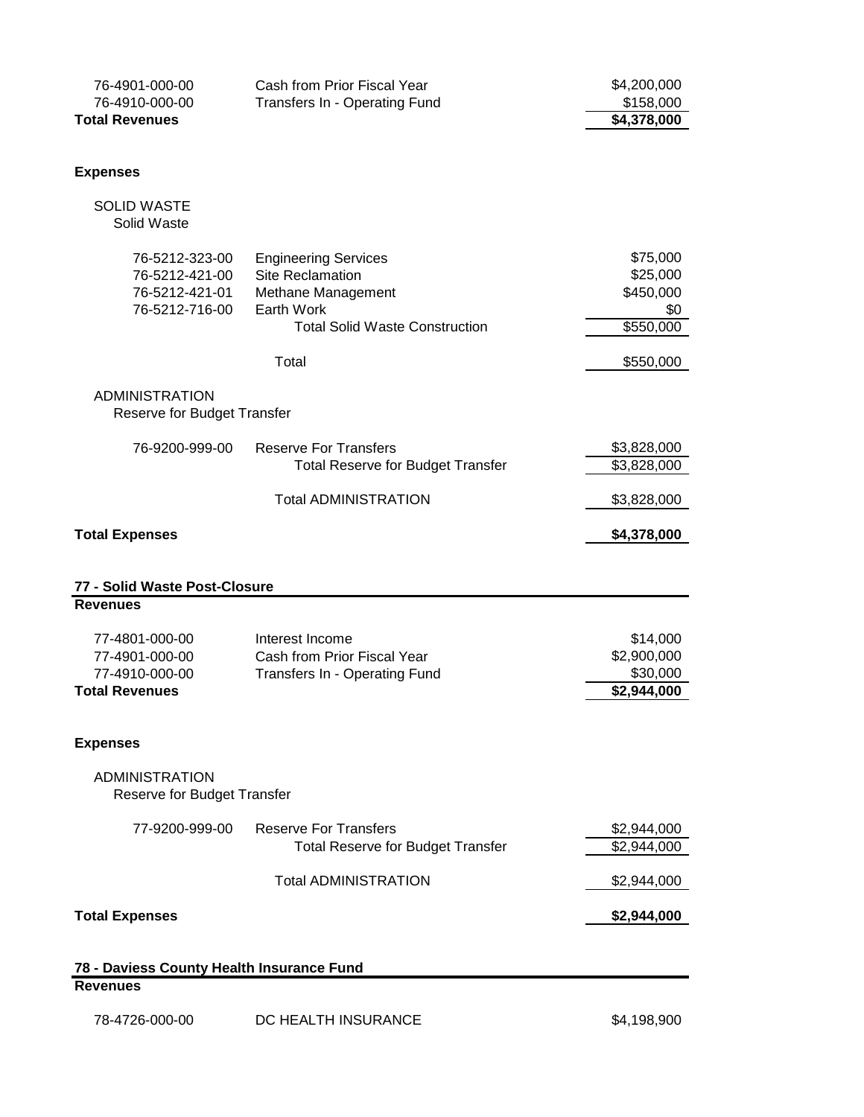| 76-4901-000-00<br>76-4910-000-00<br><b>Total Revenues</b>                   | Cash from Prior Fiscal Year<br>Transfers In - Operating Fund                                                                                 | \$4,200,000<br>\$158,000<br>\$4,378,000                            |
|-----------------------------------------------------------------------------|----------------------------------------------------------------------------------------------------------------------------------------------|--------------------------------------------------------------------|
|                                                                             |                                                                                                                                              |                                                                    |
| <b>Expenses</b>                                                             |                                                                                                                                              |                                                                    |
| <b>SOLID WASTE</b><br>Solid Waste                                           |                                                                                                                                              |                                                                    |
| 76-5212-323-00<br>76-5212-421-00<br>76-5212-421-01<br>76-5212-716-00        | <b>Engineering Services</b><br><b>Site Reclamation</b><br>Methane Management<br>Earth Work<br><b>Total Solid Waste Construction</b><br>Total | \$75,000<br>\$25,000<br>\$450,000<br>\$0<br>\$550,000<br>\$550,000 |
|                                                                             |                                                                                                                                              |                                                                    |
| <b>ADMINISTRATION</b><br>Reserve for Budget Transfer                        |                                                                                                                                              |                                                                    |
| 76-9200-999-00                                                              | <b>Reserve For Transfers</b><br><b>Total Reserve for Budget Transfer</b>                                                                     | \$3,828,000<br>\$3,828,000                                         |
|                                                                             | <b>Total ADMINISTRATION</b>                                                                                                                  | \$3,828,000                                                        |
| <b>Total Expenses</b>                                                       |                                                                                                                                              | \$4,378,000                                                        |
|                                                                             |                                                                                                                                              |                                                                    |
| 77 - Solid Waste Post-Closure<br><b>Revenues</b>                            |                                                                                                                                              |                                                                    |
| 77-4801-000-00<br>77-4901-000-00<br>77-4910-000-00<br><b>Total Revenues</b> | Interest Income<br>Cash from Prior Fiscal Year<br>Transfers In - Operating Fund                                                              | \$14,000<br>\$2,900,000<br>\$30,000<br>\$2,944,000                 |
| <b>Expenses</b>                                                             |                                                                                                                                              |                                                                    |
| <b>ADMINISTRATION</b><br>Reserve for Budget Transfer                        |                                                                                                                                              |                                                                    |
| 77-9200-999-00                                                              | <b>Reserve For Transfers</b><br><b>Total Reserve for Budget Transfer</b>                                                                     | \$2,944,000<br>\$2,944,000                                         |
|                                                                             | <b>Total ADMINISTRATION</b>                                                                                                                  | \$2,944,000                                                        |
| <b>Total Expenses</b>                                                       |                                                                                                                                              | \$2,944,000                                                        |
| 78 - Daviess County Health Insurance Fund                                   |                                                                                                                                              |                                                                    |
| <b>Revenues</b>                                                             |                                                                                                                                              |                                                                    |
| 78-4726-000-00                                                              | DC HEALTH INSURANCE                                                                                                                          | \$4,198,900                                                        |